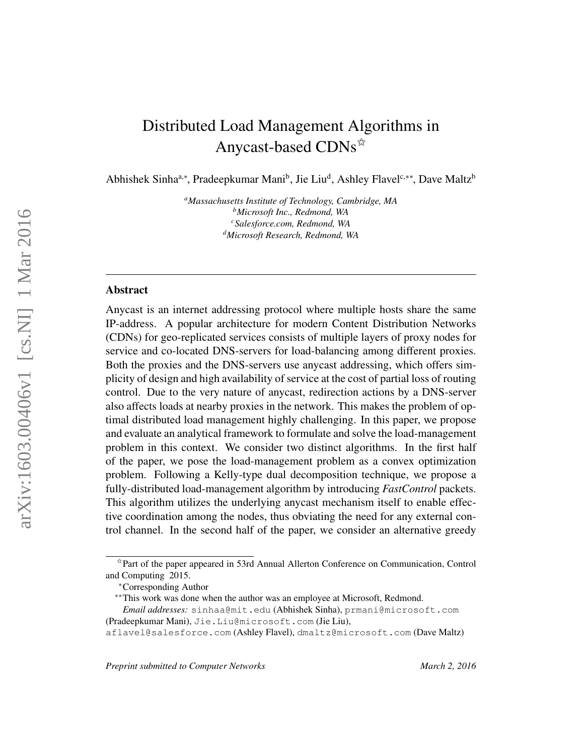# Distributed Load Management Algorithms in Anycast-based CDNs<sup> $\star$ </sup>

Abhishek Sinha<sup>a,∗</sup>, Pradeepkumar Mani<sup>b</sup>, Jie Liu<sup>d</sup>, Ashley Flavel<sup>c,∗∗</sup>, Dave Maltz<sup>b</sup>

*<sup>a</sup>Massachusetts Institute of Technology, Cambridge, MA <sup>b</sup>Microsoft Inc., Redmond, WA <sup>c</sup>Salesforce.com, Redmond, WA <sup>d</sup>Microsoft Research, Redmond, WA*

# Abstract

Anycast is an internet addressing protocol where multiple hosts share the same IP-address. A popular architecture for modern Content Distribution Networks (CDNs) for geo-replicated services consists of multiple layers of proxy nodes for service and co-located DNS-servers for load-balancing among different proxies. Both the proxies and the DNS-servers use anycast addressing, which offers simplicity of design and high availability of service at the cost of partial loss of routing control. Due to the very nature of anycast, redirection actions by a DNS-server also affects loads at nearby proxies in the network. This makes the problem of optimal distributed load management highly challenging. In this paper, we propose and evaluate an analytical framework to formulate and solve the load-management problem in this context. We consider two distinct algorithms. In the first half of the paper, we pose the load-management problem as a convex optimization problem. Following a Kelly-type dual decomposition technique, we propose a fully-distributed load-management algorithm by introducing *FastControl* packets. This algorithm utilizes the underlying anycast mechanism itself to enable effective coordination among the nodes, thus obviating the need for any external control channel. In the second half of the paper, we consider an alternative greedy

*Email addresses:* sinhaa@mit.edu (Abhishek Sinha), prmani@microsoft.com (Pradeepkumar Mani), Jie.Liu@microsoft.com (Jie Liu),

*Preprint submitted to Computer Networks March 2, 2016*

 $\dot{\gamma}$ Part of the paper appeared in 53rd Annual Allerton Conference on Communication, Control and Computing 2015.

<sup>∗</sup>Corresponding Author

<sup>∗∗</sup>This work was done when the author was an employee at Microsoft, Redmond.

aflavel@salesforce.com (Ashley Flavel), dmaltz@microsoft.com (Dave Maltz)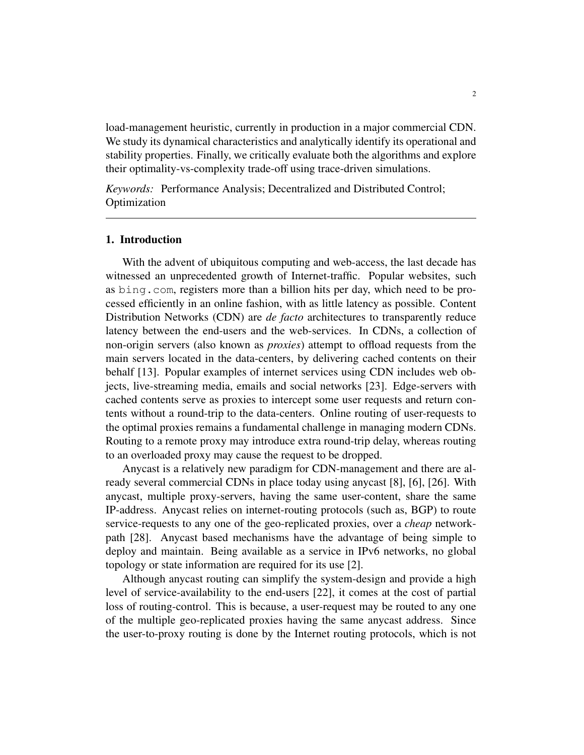load-management heuristic, currently in production in a major commercial CDN. We study its dynamical characteristics and analytically identify its operational and stability properties. Finally, we critically evaluate both the algorithms and explore their optimality-vs-complexity trade-off using trace-driven simulations.

*Keywords:* Performance Analysis; Decentralized and Distributed Control; Optimization

#### 1. Introduction

With the advent of ubiquitous computing and web-access, the last decade has witnessed an unprecedented growth of Internet-traffic. Popular websites, such as bing.com, registers more than a billion hits per day, which need to be processed efficiently in an online fashion, with as little latency as possible. Content Distribution Networks (CDN) are *de facto* architectures to transparently reduce latency between the end-users and the web-services. In CDNs, a collection of non-origin servers (also known as *proxies*) attempt to offload requests from the main servers located in the data-centers, by delivering cached contents on their behalf [13]. Popular examples of internet services using CDN includes web objects, live-streaming media, emails and social networks [23]. Edge-servers with cached contents serve as proxies to intercept some user requests and return contents without a round-trip to the data-centers. Online routing of user-requests to the optimal proxies remains a fundamental challenge in managing modern CDNs. Routing to a remote proxy may introduce extra round-trip delay, whereas routing to an overloaded proxy may cause the request to be dropped.

Anycast is a relatively new paradigm for CDN-management and there are already several commercial CDNs in place today using anycast [8], [6], [26]. With anycast, multiple proxy-servers, having the same user-content, share the same IP-address. Anycast relies on internet-routing protocols (such as, BGP) to route service-requests to any one of the geo-replicated proxies, over a *cheap* networkpath [28]. Anycast based mechanisms have the advantage of being simple to deploy and maintain. Being available as a service in IPv6 networks, no global topology or state information are required for its use [2].

Although anycast routing can simplify the system-design and provide a high level of service-availability to the end-users [22], it comes at the cost of partial loss of routing-control. This is because, a user-request may be routed to any one of the multiple geo-replicated proxies having the same anycast address. Since the user-to-proxy routing is done by the Internet routing protocols, which is not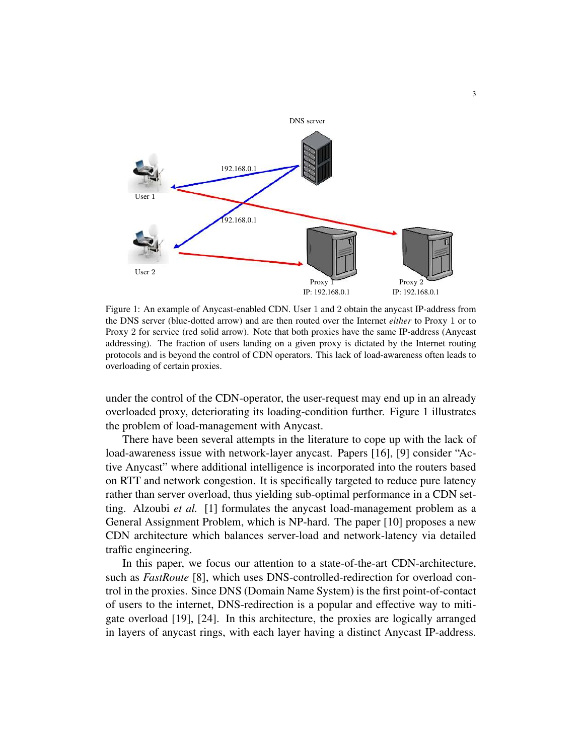

Figure 1: An example of Anycast-enabled CDN. User 1 and 2 obtain the anycast IP-address from the DNS server (blue-dotted arrow) and are then routed over the Internet *either* to Proxy 1 or to Proxy 2 for service (red solid arrow). Note that both proxies have the same IP-address (Anycast addressing). The fraction of users landing on a given proxy is dictated by the Internet routing protocols and is beyond the control of CDN operators. This lack of load-awareness often leads to overloading of certain proxies.

under the control of the CDN-operator, the user-request may end up in an already overloaded proxy, deteriorating its loading-condition further. Figure 1 illustrates the problem of load-management with Anycast.

There have been several attempts in the literature to cope up with the lack of load-awareness issue with network-layer anycast. Papers [16], [9] consider "Active Anycast" where additional intelligence is incorporated into the routers based on RTT and network congestion. It is specifically targeted to reduce pure latency rather than server overload, thus yielding sub-optimal performance in a CDN setting. Alzoubi *et al.* [1] formulates the anycast load-management problem as a General Assignment Problem, which is NP-hard. The paper [10] proposes a new CDN architecture which balances server-load and network-latency via detailed traffic engineering.

In this paper, we focus our attention to a state-of-the-art CDN-architecture, such as *FastRoute* [8], which uses DNS-controlled-redirection for overload control in the proxies. Since DNS (Domain Name System) is the first point-of-contact of users to the internet, DNS-redirection is a popular and effective way to mitigate overload [19], [24]. In this architecture, the proxies are logically arranged in layers of anycast rings, with each layer having a distinct Anycast IP-address.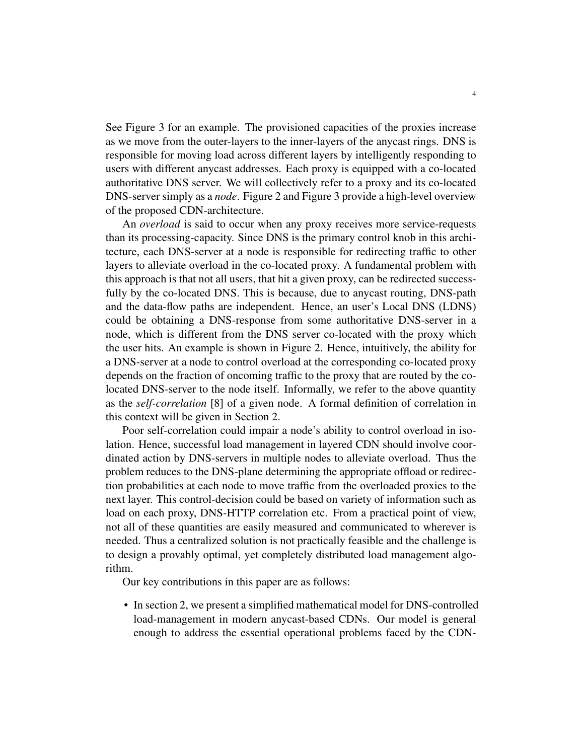See Figure 3 for an example. The provisioned capacities of the proxies increase as we move from the outer-layers to the inner-layers of the anycast rings. DNS is responsible for moving load across different layers by intelligently responding to users with different anycast addresses. Each proxy is equipped with a co-located authoritative DNS server. We will collectively refer to a proxy and its co-located DNS-server simply as a *node*. Figure 2 and Figure 3 provide a high-level overview of the proposed CDN-architecture.

An *overload* is said to occur when any proxy receives more service-requests than its processing-capacity. Since DNS is the primary control knob in this architecture, each DNS-server at a node is responsible for redirecting traffic to other layers to alleviate overload in the co-located proxy. A fundamental problem with this approach is that not all users, that hit a given proxy, can be redirected successfully by the co-located DNS. This is because, due to anycast routing, DNS-path and the data-flow paths are independent. Hence, an user's Local DNS (LDNS) could be obtaining a DNS-response from some authoritative DNS-server in a node, which is different from the DNS server co-located with the proxy which the user hits. An example is shown in Figure 2. Hence, intuitively, the ability for a DNS-server at a node to control overload at the corresponding co-located proxy depends on the fraction of oncoming traffic to the proxy that are routed by the colocated DNS-server to the node itself. Informally, we refer to the above quantity as the *self-correlation* [8] of a given node. A formal definition of correlation in this context will be given in Section 2.

Poor self-correlation could impair a node's ability to control overload in isolation. Hence, successful load management in layered CDN should involve coordinated action by DNS-servers in multiple nodes to alleviate overload. Thus the problem reduces to the DNS-plane determining the appropriate offload or redirection probabilities at each node to move traffic from the overloaded proxies to the next layer. This control-decision could be based on variety of information such as load on each proxy, DNS-HTTP correlation etc. From a practical point of view, not all of these quantities are easily measured and communicated to wherever is needed. Thus a centralized solution is not practically feasible and the challenge is to design a provably optimal, yet completely distributed load management algorithm.

Our key contributions in this paper are as follows:

• In section 2, we present a simplified mathematical model for DNS-controlled load-management in modern anycast-based CDNs. Our model is general enough to address the essential operational problems faced by the CDN-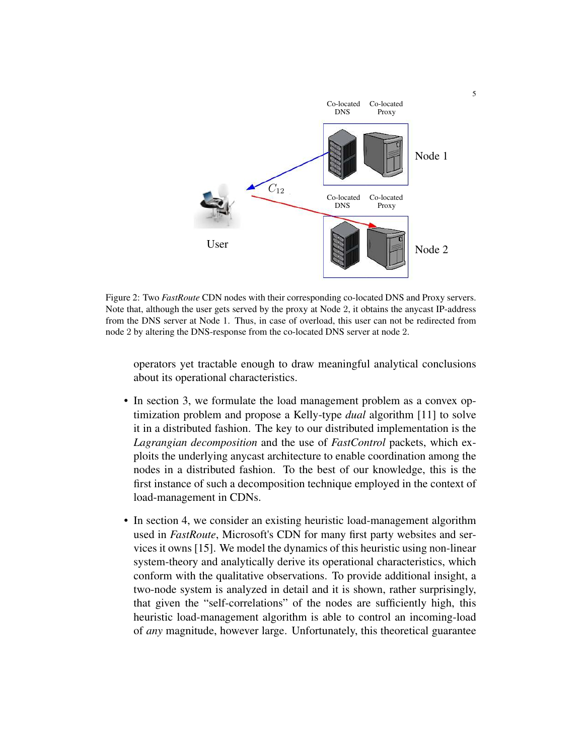

Figure 2: Two *FastRoute* CDN nodes with their corresponding co-located DNS and Proxy servers. Note that, although the user gets served by the proxy at Node 2, it obtains the anycast IP-address from the DNS server at Node 1. Thus, in case of overload, this user can not be redirected from node 2 by altering the DNS-response from the co-located DNS server at node 2.

operators yet tractable enough to draw meaningful analytical conclusions about its operational characteristics.

- In section 3, we formulate the load management problem as a convex optimization problem and propose a Kelly-type *dual* algorithm [11] to solve it in a distributed fashion. The key to our distributed implementation is the *Lagrangian decomposition* and the use of *FastControl* packets, which exploits the underlying anycast architecture to enable coordination among the nodes in a distributed fashion. To the best of our knowledge, this is the first instance of such a decomposition technique employed in the context of load-management in CDNs.
- In section 4, we consider an existing heuristic load-management algorithm used in *FastRoute*, Microsoft's CDN for many first party websites and services it owns [15]. We model the dynamics of this heuristic using non-linear system-theory and analytically derive its operational characteristics, which conform with the qualitative observations. To provide additional insight, a two-node system is analyzed in detail and it is shown, rather surprisingly, that given the "self-correlations" of the nodes are sufficiently high, this heuristic load-management algorithm is able to control an incoming-load of *any* magnitude, however large. Unfortunately, this theoretical guarantee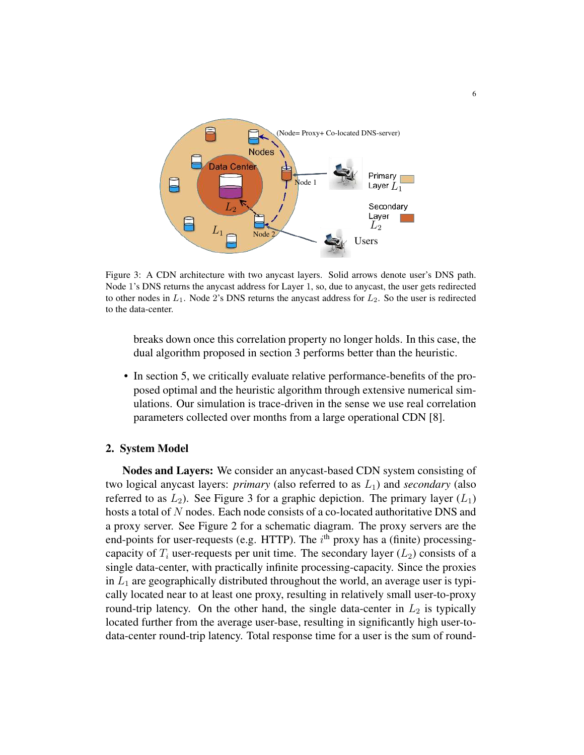

Figure 3: A CDN architecture with two anycast layers. Solid arrows denote user's DNS path. Node 1's DNS returns the anycast address for Layer 1, so, due to anycast, the user gets redirected to other nodes in  $L_1$ . Node 2's DNS returns the anycast address for  $L_2$ . So the user is redirected to the data-center.

breaks down once this correlation property no longer holds. In this case, the dual algorithm proposed in section 3 performs better than the heuristic.

• In section 5, we critically evaluate relative performance-benefits of the proposed optimal and the heuristic algorithm through extensive numerical simulations. Our simulation is trace-driven in the sense we use real correlation parameters collected over months from a large operational CDN [8].

# 2. System Model

Nodes and Layers: We consider an anycast-based CDN system consisting of two logical anycast layers:  $primary$  (also referred to as  $L_1$ ) and *secondary* (also referred to as  $L_2$ ). See Figure 3 for a graphic depiction. The primary layer  $(L_1)$ hosts a total of N nodes. Each node consists of a co-located authoritative DNS and a proxy server. See Figure 2 for a schematic diagram. The proxy servers are the end-points for user-requests (e.g. HTTP). The  $i<sup>th</sup>$  proxy has a (finite) processingcapacity of  $T_i$  user-requests per unit time. The secondary layer  $(L_2)$  consists of a single data-center, with practically infinite processing-capacity. Since the proxies in  $L_1$  are geographically distributed throughout the world, an average user is typically located near to at least one proxy, resulting in relatively small user-to-proxy round-trip latency. On the other hand, the single data-center in  $L_2$  is typically located further from the average user-base, resulting in significantly high user-todata-center round-trip latency. Total response time for a user is the sum of round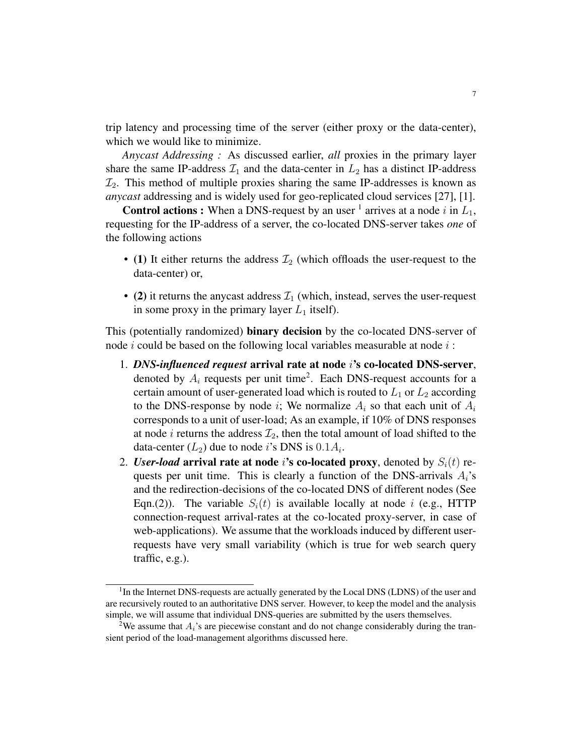trip latency and processing time of the server (either proxy or the data-center), which we would like to minimize.

*Anycast Addressing :* As discussed earlier, *all* proxies in the primary layer share the same IP-address  $\mathcal{I}_1$  and the data-center in  $L_2$  has a distinct IP-address  $\mathcal{I}_2$ . This method of multiple proxies sharing the same IP-addresses is known as *anycast* addressing and is widely used for geo-replicated cloud services [27], [1].

**Control actions :** When a DNS-request by an user <sup>1</sup> arrives at a node i in  $L_1$ , requesting for the IP-address of a server, the co-located DNS-server takes *one* of the following actions

- (1) It either returns the address  $\mathcal{I}_2$  (which offloads the user-request to the data-center) or,
- (2) it returns the any cast address  $\mathcal{I}_1$  (which, instead, serves the user-request in some proxy in the primary layer  $L_1$  itself).

This (potentially randomized) binary decision by the co-located DNS-server of node  $i$  could be based on the following local variables measurable at node  $i$ :

- 1. *DNS-influenced request* arrival rate at node i's co-located DNS-server, denoted by  $A_i$  requests per unit time<sup>2</sup>. Each DNS-request accounts for a certain amount of user-generated load which is routed to  $L_1$  or  $L_2$  according to the DNS-response by node i; We normalize  $A_i$  so that each unit of  $A_i$ corresponds to a unit of user-load; As an example, if 10% of DNS responses at node i returns the address  $\mathcal{I}_2$ , then the total amount of load shifted to the data-center  $(L_2)$  due to node *i*'s DNS is  $0.1A_i$ .
- 2. *User-load* arrival rate at node i's co-located proxy, denoted by  $S_i(t)$  requests per unit time. This is clearly a function of the DNS-arrivals  $A_i$ 's and the redirection-decisions of the co-located DNS of different nodes (See Eqn.(2)). The variable  $S_i(t)$  is available locally at node i (e.g., HTTP connection-request arrival-rates at the co-located proxy-server, in case of web-applications). We assume that the workloads induced by different userrequests have very small variability (which is true for web search query traffic, e.g.).

<sup>&</sup>lt;sup>1</sup>In the Internet DNS-requests are actually generated by the Local DNS (LDNS) of the user and are recursively routed to an authoritative DNS server. However, to keep the model and the analysis simple, we will assume that individual DNS-queries are submitted by the users themselves.

<sup>&</sup>lt;sup>2</sup>We assume that  $A_i$ 's are piecewise constant and do not change considerably during the transient period of the load-management algorithms discussed here.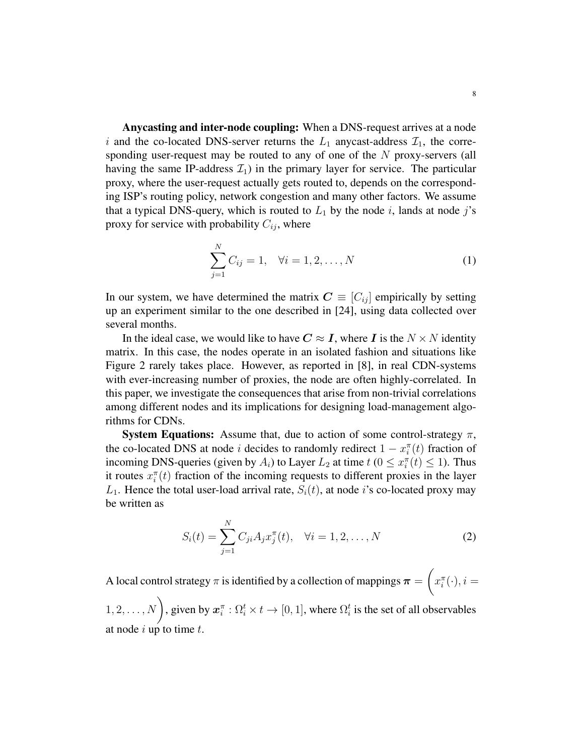Anycasting and inter-node coupling: When a DNS-request arrives at a node i and the co-located DNS-server returns the  $L_1$  anycast-address  $\mathcal{I}_1$ , the corresponding user-request may be routed to any of one of the N proxy-servers (all having the same IP-address  $\mathcal{I}_1$ ) in the primary layer for service. The particular proxy, where the user-request actually gets routed to, depends on the corresponding ISP's routing policy, network congestion and many other factors. We assume that a typical DNS-query, which is routed to  $L_1$  by the node i, lands at node j's proxy for service with probability  $C_{ij}$ , where

$$
\sum_{j=1}^{N} C_{ij} = 1, \quad \forall i = 1, 2, ..., N
$$
 (1)

In our system, we have determined the matrix  $\mathbf{C} \equiv [C_{ij}]$  empirically by setting up an experiment similar to the one described in [24], using data collected over several months.

In the ideal case, we would like to have  $C \approx I$ , where I is the  $N \times N$  identity matrix. In this case, the nodes operate in an isolated fashion and situations like Figure 2 rarely takes place. However, as reported in [8], in real CDN-systems with ever-increasing number of proxies, the node are often highly-correlated. In this paper, we investigate the consequences that arise from non-trivial correlations among different nodes and its implications for designing load-management algorithms for CDNs.

System Equations: Assume that, due to action of some control-strategy  $\pi$ , the co-located DNS at node *i* decides to randomly redirect  $1 - x_i^{\pi}(t)$  fraction of incoming DNS-queries (given by  $A_i$ ) to Layer  $L_2$  at time  $t$  ( $0 \le x_i^{\pi}(t) \le 1$ ). Thus it routes  $x_i^{\pi}(t)$  fraction of the incoming requests to different proxies in the layer  $L_1$ . Hence the total user-load arrival rate,  $S_i(t)$ , at node *i*'s co-located proxy may be written as

$$
S_i(t) = \sum_{j=1}^{N} C_{ji} A_j x_j^{\pi}(t), \quad \forall i = 1, 2, ..., N
$$
 (2)

A local control strategy  $\pi$  is identified by a collection of mappings  $\bm{\pi} = \left(\pi\right)$  $x_i^{\pi}(\cdot), i =$ 

 $(1, 2, \ldots, N)$ , given by  $x_i^{\pi} : \Omega_i^t \times t \to [0, 1]$ , where  $\Omega_i^t$  is the set of all observables at node  $i$  up to time  $t$ .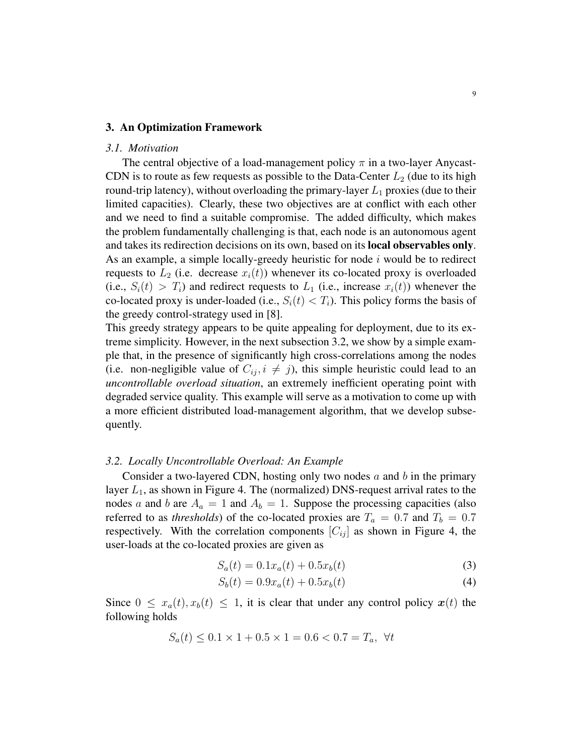#### 3. An Optimization Framework

#### *3.1. Motivation*

The central objective of a load-management policy  $\pi$  in a two-layer Anycast-CDN is to route as few requests as possible to the Data-Center  $L_2$  (due to its high round-trip latency), without overloading the primary-layer  $L_1$  proxies (due to their limited capacities). Clearly, these two objectives are at conflict with each other and we need to find a suitable compromise. The added difficulty, which makes the problem fundamentally challenging is that, each node is an autonomous agent and takes its redirection decisions on its own, based on its local observables only. As an example, a simple locally-greedy heuristic for node  $i$  would be to redirect requests to  $L_2$  (i.e. decrease  $x_i(t)$ ) whenever its co-located proxy is overloaded (i.e.,  $S_i(t) > T_i$ ) and redirect requests to  $L_1$  (i.e., increase  $x_i(t)$ ) whenever the co-located proxy is under-loaded (i.e.,  $S_i(t) < T_i$ ). This policy forms the basis of the greedy control-strategy used in [8].

This greedy strategy appears to be quite appealing for deployment, due to its extreme simplicity. However, in the next subsection 3.2, we show by a simple example that, in the presence of significantly high cross-correlations among the nodes (i.e. non-negligible value of  $C_{ij}$ ,  $i \neq j$ ), this simple heuristic could lead to an *uncontrollable overload situation*, an extremely inefficient operating point with degraded service quality. This example will serve as a motivation to come up with a more efficient distributed load-management algorithm, that we develop subsequently.

#### *3.2. Locally Uncontrollable Overload: An Example*

Consider a two-layered CDN, hosting only two nodes  $a$  and  $b$  in the primary layer  $L_1$ , as shown in Figure 4. The (normalized) DNS-request arrival rates to the nodes a and b are  $A_a = 1$  and  $A_b = 1$ . Suppose the processing capacities (also referred to as *thresholds*) of the co-located proxies are  $T_a = 0.7$  and  $T_b = 0.7$ respectively. With the correlation components  $[C_{ij}]$  as shown in Figure 4, the user-loads at the co-located proxies are given as

$$
S_a(t) = 0.1x_a(t) + 0.5x_b(t)
$$
\n(3)

$$
S_b(t) = 0.9x_a(t) + 0.5x_b(t)
$$
\n(4)

Since  $0 \le x_a(t), x_b(t) \le 1$ , it is clear that under any control policy  $x(t)$  the following holds

$$
S_a(t) \le 0.1 \times 1 + 0.5 \times 1 = 0.6 < 0.7 = T_a, \ \forall t
$$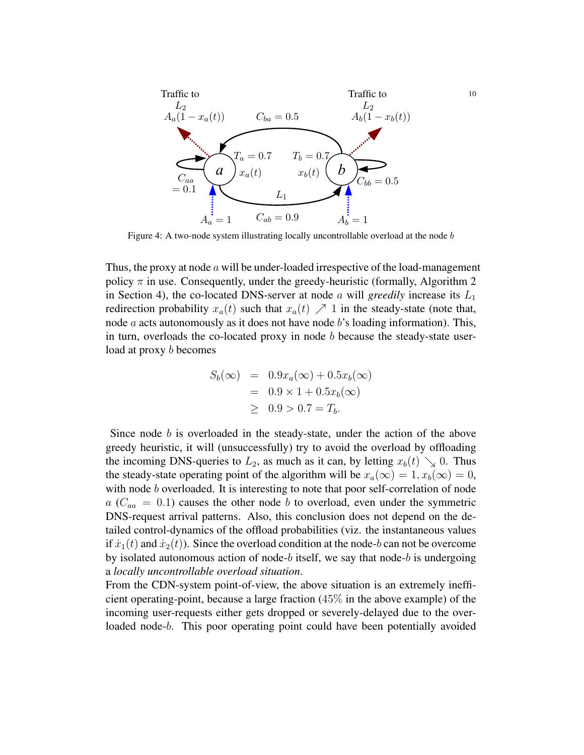

Figure 4: A two-node system illustrating locally uncontrollable overload at the node  $b$ 

Thus, the proxy at node a will be under-loaded irrespective of the load-management policy  $\pi$  in use. Consequently, under the greedy-heuristic (formally, Algorithm 2) in Section 4), the co-located DNS-server at node  $\alpha$  will *greedily* increase its  $L_1$ redirection probability  $x_a(t)$  such that  $x_a(t) \nearrow 1$  in the steady-state (note that, node  $a$  acts autonomously as it does not have node  $b$ 's loading information). This, in turn, overloads the co-located proxy in node  $b$  because the steady-state userload at proxy b becomes

$$
S_b(\infty) = 0.9x_a(\infty) + 0.5x_b(\infty)
$$
  
= 0.9 × 1 + 0.5x\_b(\infty)  

$$
\geq 0.9 > 0.7 = T_b.
$$

Since node  $b$  is overloaded in the steady-state, under the action of the above greedy heuristic, it will (unsuccessfully) try to avoid the overload by offloading the incoming DNS-queries to  $L_2$ , as much as it can, by letting  $x_b(t) \searrow 0$ . Thus the steady-state operating point of the algorithm will be  $x_a(\infty) = 1, x_b(\infty) = 0$ , with node b overloaded. It is interesting to note that poor self-correlation of node  $a (C_{aa} = 0.1)$  causes the other node b to overload, even under the symmetric DNS-request arrival patterns. Also, this conclusion does not depend on the detailed control-dynamics of the offload probabilities (viz. the instantaneous values if  $\dot{x}_1(t)$  and  $\dot{x}_2(t)$ ). Since the overload condition at the node-b can not be overcome by isolated autonomous action of node-b itself, we say that node-b is undergoing a *locally uncontrollable overload situation*.

From the CDN-system point-of-view, the above situation is an extremely inefficient operating-point, because a large fraction  $(45\%$  in the above example) of the incoming user-requests either gets dropped or severely-delayed due to the overloaded node-b. This poor operating point could have been potentially avoided

10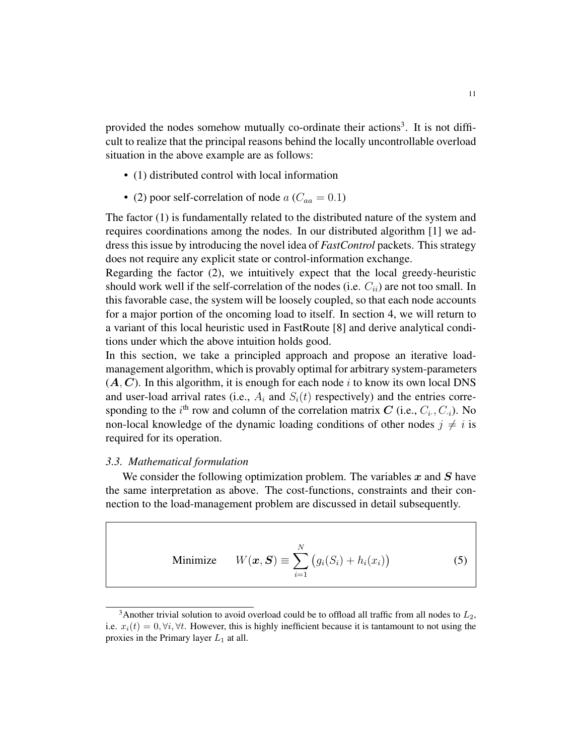provided the nodes somehow mutually co-ordinate their actions<sup>3</sup>. It is not difficult to realize that the principal reasons behind the locally uncontrollable overload situation in the above example are as follows:

- (1) distributed control with local information
- (2) poor self-correlation of node  $a(C_{aa} = 0.1)$

The factor (1) is fundamentally related to the distributed nature of the system and requires coordinations among the nodes. In our distributed algorithm [1] we address this issue by introducing the novel idea of *FastControl* packets. This strategy does not require any explicit state or control-information exchange.

Regarding the factor (2), we intuitively expect that the local greedy-heuristic should work well if the self-correlation of the nodes (i.e.  $C_{ii}$ ) are not too small. In this favorable case, the system will be loosely coupled, so that each node accounts for a major portion of the oncoming load to itself. In section 4, we will return to a variant of this local heuristic used in FastRoute [8] and derive analytical conditions under which the above intuition holds good.

In this section, we take a principled approach and propose an iterative loadmanagement algorithm, which is provably optimal for arbitrary system-parameters  $(A, C)$ . In this algorithm, it is enough for each node i to know its own local DNS and user-load arrival rates (i.e.,  $A_i$  and  $S_i(t)$  respectively) and the entries corresponding to the  $i^{\text{th}}$  row and column of the correlation matrix C (i.e.,  $C_i$ ,  $C_i$ ). No non-local knowledge of the dynamic loading conditions of other nodes  $j \neq i$  is required for its operation.

#### *3.3. Mathematical formulation*

We consider the following optimization problem. The variables  $x$  and  $S$  have the same interpretation as above. The cost-functions, constraints and their connection to the load-management problem are discussed in detail subsequently.

Minimize 
$$
W(\boldsymbol{x}, \boldsymbol{S}) \equiv \sum_{i=1}^{N} (g_i(S_i) + h_i(x_i))
$$
 (5)

<sup>&</sup>lt;sup>3</sup>Another trivial solution to avoid overload could be to offload all traffic from all nodes to  $L_2$ , i.e.  $x_i(t) = 0, \forall i, \forall t$ . However, this is highly inefficient because it is tantamount to not using the proxies in the Primary layer  $L_1$  at all.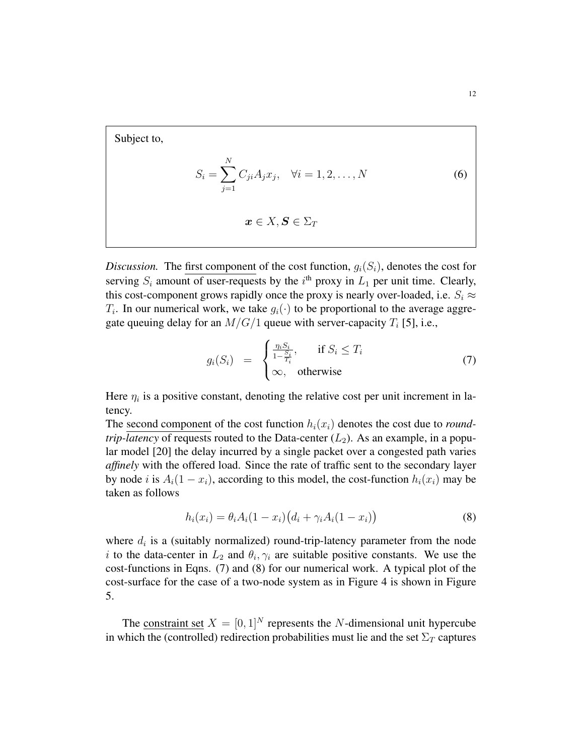Subject to,

$$
S_i = \sum_{j=1}^{N} C_{ji} A_j x_j, \quad \forall i = 1, 2, ..., N
$$
 (6)

$$
\boldsymbol{x}\in X,\boldsymbol{S}\in\Sigma_T
$$

*Discussion.* The first component of the cost function,  $g_i(S_i)$ , denotes the cost for serving  $S_i$  amount of user-requests by the  $i^{\text{th}}$  proxy in  $L_1$  per unit time. Clearly, this cost-component grows rapidly once the proxy is nearly over-loaded, i.e.  $S_i \approx$  $T_i$ . In our numerical work, we take  $g_i(\cdot)$  to be proportional to the average aggregate queuing delay for an  $M/G/1$  queue with server-capacity  $T_i$  [5], i.e.,

$$
g_i(S_i) = \begin{cases} \frac{\eta_i S_i}{1 - \frac{S_i}{T_i}}, & \text{if } S_i \le T_i \\ \infty, & \text{otherwise} \end{cases}
$$
 (7)

Here  $\eta_i$  is a positive constant, denoting the relative cost per unit increment in latency.

The second component of the cost function  $h_i(x_i)$  denotes the cost due to *roundtrip-latency* of requests routed to the Data-center  $(L_2)$ . As an example, in a popular model [20] the delay incurred by a single packet over a congested path varies *affinely* with the offered load. Since the rate of traffic sent to the secondary layer by node i is  $A_i(1-x_i)$ , according to this model, the cost-function  $h_i(x_i)$  may be taken as follows

$$
h_i(x_i) = \theta_i A_i (1 - x_i) (d_i + \gamma_i A_i (1 - x_i))
$$
\n(8)

where  $d_i$  is a (suitably normalized) round-trip-latency parameter from the node i to the data-center in  $L_2$  and  $\theta_i, \gamma_i$  are suitable positive constants. We use the cost-functions in Eqns. (7) and (8) for our numerical work. A typical plot of the cost-surface for the case of a two-node system as in Figure 4 is shown in Figure 5.

The constraint set  $X = [0, 1]^N$  represents the N-dimensional unit hypercube in which the (controlled) redirection probabilities must lie and the set  $\Sigma_T$  captures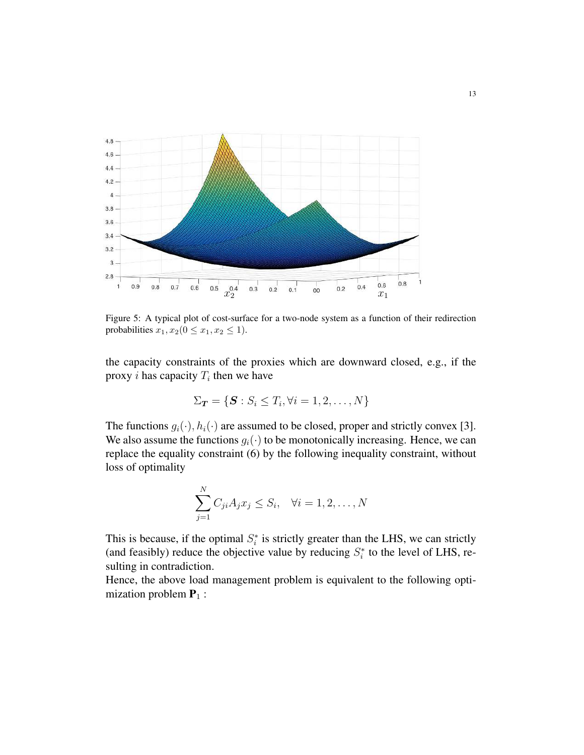

Figure 5: A typical plot of cost-surface for a two-node system as a function of their redirection probabilities  $x_1, x_2$  ( $0 \le x_1, x_2 \le 1$ ).

the capacity constraints of the proxies which are downward closed, e.g., if the proxy *i* has capacity  $T_i$  then we have

$$
\Sigma_{\boldsymbol{T}} = \{\boldsymbol{S} : S_i \leq T_i, \forall i = 1, 2, \dots, N\}
$$

The functions  $g_i(\cdot)$ ,  $h_i(\cdot)$  are assumed to be closed, proper and strictly convex [3]. We also assume the functions  $g_i(\cdot)$  to be monotonically increasing. Hence, we can replace the equality constraint (6) by the following inequality constraint, without loss of optimality

$$
\sum_{j=1}^{N} C_{ji} A_j x_j \le S_i, \quad \forall i = 1, 2, \dots, N
$$

This is because, if the optimal  $S_i^*$  is strictly greater than the LHS, we can strictly (and feasibly) reduce the objective value by reducing  $S_i^*$  to the level of LHS, resulting in contradiction.

Hence, the above load management problem is equivalent to the following optimization problem  $P_1$  :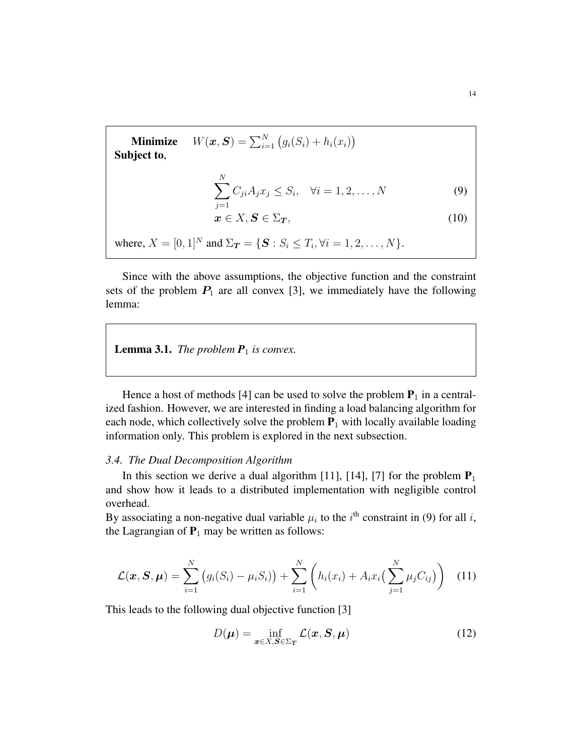**Minimize**  $W(\boldsymbol{x}, \boldsymbol{S}) = \sum_{i=1}^{N} (g_i(S_i) + h_i(x_i))$ Subject to,

$$
\sum_{j=1}^{N} C_{ji} A_j x_j \le S_i, \quad \forall i = 1, 2, \dots, N
$$
 (9)

$$
x \in X, S \in \Sigma_T,\tag{10}
$$

where,  $X = [0, 1]^N$  and  $\Sigma_T = \{ S : S_i \le T_i, \forall i = 1, 2, ..., N \}.$ 

Since with the above assumptions, the objective function and the constraint sets of the problem  $P_1$  are all convex [3], we immediately have the following lemma:

**Lemma 3.1.** *The problem*  $P_1$  *is convex.* 

Hence a host of methods [4] can be used to solve the problem  $P_1$  in a centralized fashion. However, we are interested in finding a load balancing algorithm for each node, which collectively solve the problem  $P_1$  with locally available loading information only. This problem is explored in the next subsection.

#### *3.4. The Dual Decomposition Algorithm*

In this section we derive a dual algorithm [11], [14], [7] for the problem  $P_1$ and show how it leads to a distributed implementation with negligible control overhead.

By associating a non-negative dual variable  $\mu_i$  to the  $i^{\text{th}}$  constraint in (9) for all i, the Lagrangian of  $P_1$  may be written as follows:

$$
\mathcal{L}(\boldsymbol{x}, \boldsymbol{S}, \boldsymbol{\mu}) = \sum_{i=1}^{N} (g_i(S_i) - \mu_i S_i)) + \sum_{i=1}^{N} \left( h_i(x_i) + A_i x_i \left( \sum_{j=1}^{N} \mu_j C_{ij} \right) \right)
$$
(11)

This leads to the following dual objective function [3]

$$
D(\boldsymbol{\mu}) = \inf_{\boldsymbol{x} \in X, \boldsymbol{S} \in \Sigma_T} \mathcal{L}(\boldsymbol{x}, \boldsymbol{S}, \boldsymbol{\mu})
$$
(12)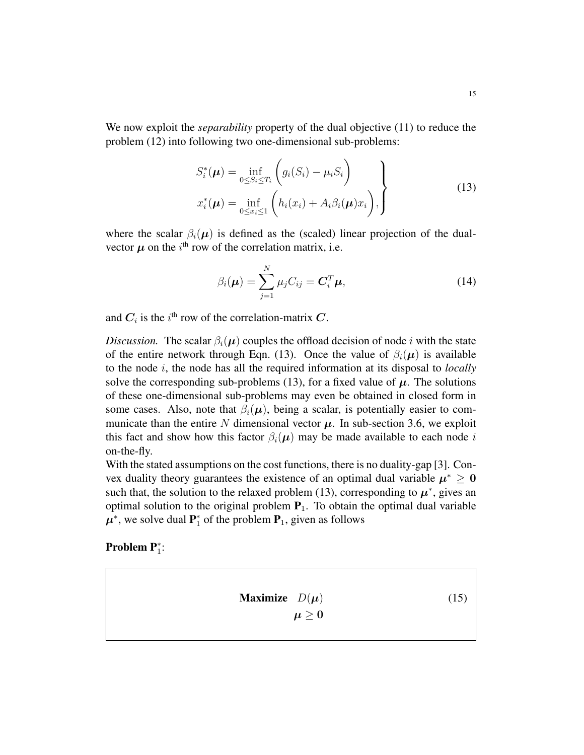We now exploit the *separability* property of the dual objective (11) to reduce the problem (12) into following two one-dimensional sub-problems:

$$
S_i^*(\boldsymbol{\mu}) = \inf_{0 \le S_i \le T_i} \left( g_i(S_i) - \mu_i S_i \right)
$$
  

$$
x_i^*(\boldsymbol{\mu}) = \inf_{0 \le x_i \le 1} \left( h_i(x_i) + A_i \beta_i(\boldsymbol{\mu}) x_i \right),
$$
 (13)

where the scalar  $\beta_i(\mu)$  is defined as the (scaled) linear projection of the dualvector  $\mu$  on the  $i^{\text{th}}$  row of the correlation matrix, i.e.

$$
\beta_i(\boldsymbol{\mu}) = \sum_{j=1}^N \mu_j C_{ij} = \boldsymbol{C}_i^T \boldsymbol{\mu},
$$
\n(14)

and  $C_i$  is the  $i^{\text{th}}$  row of the correlation-matrix C.

*Discussion.* The scalar  $\beta_i(\mu)$  couples the offload decision of node i with the state of the entire network through Eqn. (13). Once the value of  $\beta_i(\mu)$  is available to the node i, the node has all the required information at its disposal to *locally* solve the corresponding sub-problems (13), for a fixed value of  $\mu$ . The solutions of these one-dimensional sub-problems may even be obtained in closed form in some cases. Also, note that  $\beta_i(\mu)$ , being a scalar, is potentially easier to communicate than the entire N dimensional vector  $\mu$ . In sub-section 3.6, we exploit this fact and show how this factor  $\beta_i(\mu)$  may be made available to each node i on-the-fly.

With the stated assumptions on the cost functions, there is no duality-gap [3]. Convex duality theory guarantees the existence of an optimal dual variable  $\mu^* \geq 0$ such that, the solution to the relaxed problem (13), corresponding to  $\mu^*$ , gives an optimal solution to the original problem  $P_1$ . To obtain the optimal dual variable  $\mu^*$ , we solve dual  $P_1^*$  of the problem  $P_1$ , given as follows

# **Problem P**<sup>\*</sup><sub>1</sub>:

$$
\begin{array}{ll}\n\textbf{Maximize} & D(\mu) \\
\mu \ge 0\n\end{array} \tag{15}
$$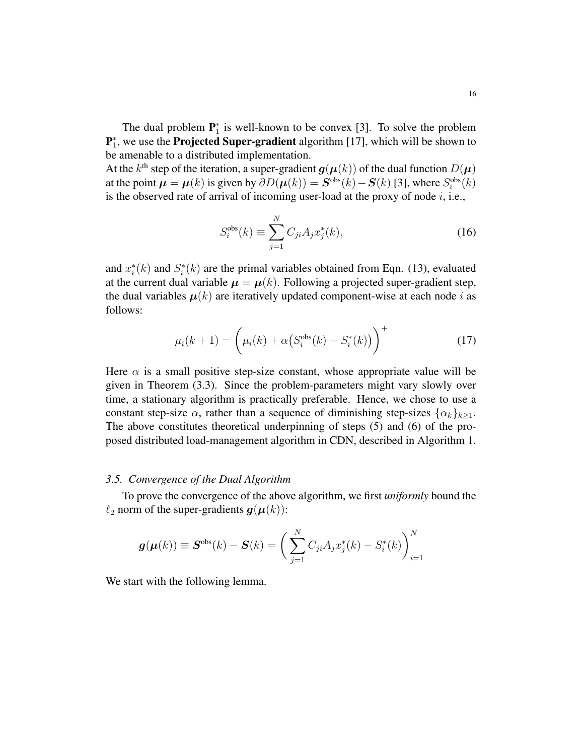The dual problem  $\mathbf{P}_1^*$  is well-known to be convex [3]. To solve the problem  $\mathbf{P}_1^*$ , we use the **Projected Super-gradient** algorithm [17], which will be shown to be amenable to a distributed implementation.

At the  $k^{\text{th}}$  step of the iteration, a super-gradient  $g(\boldsymbol{\mu}(k))$  of the dual function  $D(\boldsymbol{\mu})$ at the point  $\mu = \mu(k)$  is given by  $\partial D(\mu(k)) = S^{\text{obs}}(k) - S(k)$  [3], where  $S_i^{\text{obs}}(k)$ is the observed rate of arrival of incoming user-load at the proxy of node  $i$ , i.e.,

$$
S_i^{\text{obs}}(k) \equiv \sum_{j=1}^{N} C_{ji} A_j x_j^*(k), \qquad (16)
$$

and  $x_i^*(k)$  and  $S_i^*(k)$  are the primal variables obtained from Eqn. (13), evaluated at the current dual variable  $\mu = \mu(k)$ . Following a projected super-gradient step, the dual variables  $\mu(k)$  are iteratively updated component-wise at each node i as follows:

$$
\mu_i(k+1) = \left(\mu_i(k) + \alpha \left(S_i^{\text{obs}}(k) - S_i^*(k)\right)\right)^+ \tag{17}
$$

Here  $\alpha$  is a small positive step-size constant, whose appropriate value will be given in Theorem (3.3). Since the problem-parameters might vary slowly over time, a stationary algorithm is practically preferable. Hence, we chose to use a constant step-size  $\alpha$ , rather than a sequence of diminishing step-sizes  $\{\alpha_k\}_{k>1}$ . The above constitutes theoretical underpinning of steps (5) and (6) of the proposed distributed load-management algorithm in CDN, described in Algorithm 1.

#### *3.5. Convergence of the Dual Algorithm*

To prove the convergence of the above algorithm, we first *uniformly* bound the  $\ell_2$  norm of the super-gradients  $g(\mu(k))$ :

$$
\boldsymbol{g}(\boldsymbol{\mu}(k)) \equiv \boldsymbol{S}^{\rm obs}(k) - \boldsymbol{S}(k) = \left(\sum_{j=1}^{N} C_{ji} A_j x_j^*(k) - S_i^*(k)\right)_{i=1}^{N}
$$

We start with the following lemma.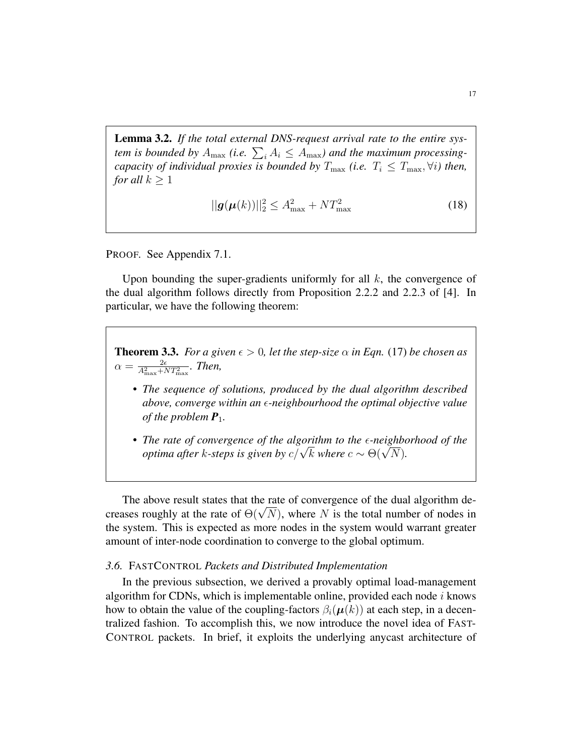Lemma 3.2. *If the total external DNS-request arrival rate to the entire sys*tem is bounded by  $A_{\text{max}}$  (i.e.  $\sum_i A_i \leq A_{\text{max}}$ ) and the maximum processing*capacity of individual proxies is bounded by*  $T_{\text{max}}$  *(i.e.*  $T_i \leq T_{\text{max}}$ ,  $\forall i$ *) then, for all*  $k \geq 1$ 

$$
||g(\mu(k))||_2^2 \le A_{\text{max}}^2 + NT_{\text{max}}^2 \tag{18}
$$

PROOF. See Appendix 7.1.

Upon bounding the super-gradients uniformly for all  $k$ , the convergence of the dual algorithm follows directly from Proposition 2.2.2 and 2.2.3 of [4]. In particular, we have the following theorem:

**Theorem 3.3.** *For a given*  $\epsilon > 0$ , *let the step-size*  $\alpha$  *in Eqn.* (17) *be chosen as*  $\alpha = \frac{2\epsilon}{A_{\text{max}}^2 + NT_{\text{max}}^2}$ . Then,

- *The sequence of solutions, produced by the dual algorithm described above, converge within an ε-neighbourhood the optimal objective value of the problem*  $P_1$ *.*
- The rate of convergence of the algorithm to the  $\epsilon$ -neighborhood of the *optima after k*-steps is given by  $c/\sqrt{k}$  where  $c \sim \Theta(\sqrt{N})$ *.*

The above result states that the rate of convergence of the dual algorithm decreases roughly at the rate of  $\Theta(\sqrt{N})$ , where N is the total number of nodes in the system. This is expected as more nodes in the system would warrant greater amount of inter-node coordination to converge to the global optimum.

#### *3.6.* FASTCONTROL *Packets and Distributed Implementation*

In the previous subsection, we derived a provably optimal load-management algorithm for CDNs, which is implementable online, provided each node  $i$  knows how to obtain the value of the coupling-factors  $\beta_i(\mu(k))$  at each step, in a decentralized fashion. To accomplish this, we now introduce the novel idea of FAST-CONTROL packets. In brief, it exploits the underlying anycast architecture of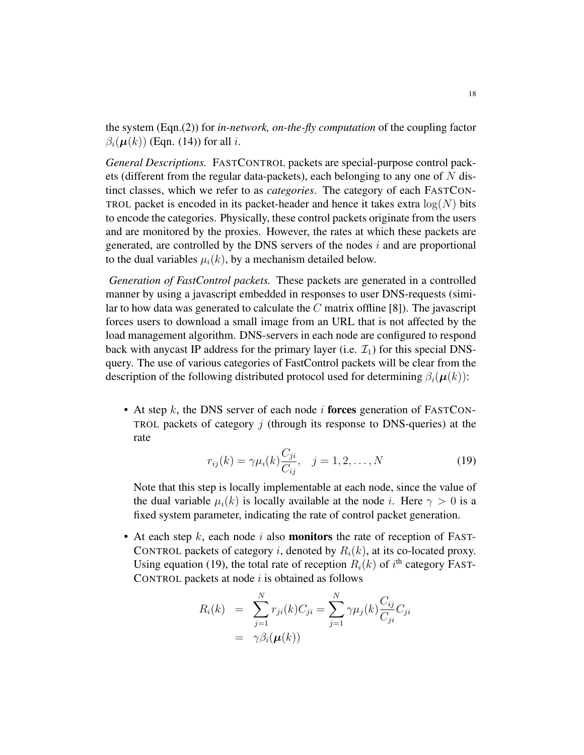the system (Eqn.(2)) for *in-network, on-the-fly computation* of the coupling factor  $\beta_i(\boldsymbol{\mu}(k))$  (Eqn. (14)) for all *i*.

*General Descriptions.* FASTCONTROL packets are special-purpose control packets (different from the regular data-packets), each belonging to any one of  $N$  distinct classes, which we refer to as *categories*. The category of each FASTCON-TROL packet is encoded in its packet-header and hence it takes extra  $log(N)$  bits to encode the categories. Physically, these control packets originate from the users and are monitored by the proxies. However, the rates at which these packets are generated, are controlled by the DNS servers of the nodes i and are proportional to the dual variables  $\mu_i(k)$ , by a mechanism detailed below.

*Generation of FastControl packets.* These packets are generated in a controlled manner by using a javascript embedded in responses to user DNS-requests (similar to how data was generated to calculate the  $C$  matrix offline [8]). The javascript forces users to download a small image from an URL that is not affected by the load management algorithm. DNS-servers in each node are configured to respond back with anycast IP address for the primary layer (i.e.  $\mathcal{I}_1$ ) for this special DNSquery. The use of various categories of FastControl packets will be clear from the description of the following distributed protocol used for determining  $\beta_i(\mu(k))$ :

• At step k, the DNS server of each node i forces generation of FASTCON-TROL packets of category  $j$  (through its response to DNS-queries) at the rate

$$
r_{ij}(k) = \gamma \mu_i(k) \frac{C_{ji}}{C_{ij}}, \quad j = 1, 2, \dots, N
$$
\n(19)

Note that this step is locally implementable at each node, since the value of the dual variable  $\mu_i(k)$  is locally available at the node i. Here  $\gamma > 0$  is a fixed system parameter, indicating the rate of control packet generation.

• At each step  $k$ , each node i also **monitors** the rate of reception of FAST-CONTROL packets of category i, denoted by  $R_i(k)$ , at its co-located proxy. Using equation (19), the total rate of reception  $R_i(k)$  of  $i<sup>th</sup>$  category FAST-CONTROL packets at node  $i$  is obtained as follows

$$
R_i(k) = \sum_{j=1}^N r_{ji}(k)C_{ji} = \sum_{j=1}^N \gamma \mu_j(k) \frac{C_{ij}}{C_{ji}} C_{ji}
$$
  
=  $\gamma \beta_i(\boldsymbol{\mu}(k))$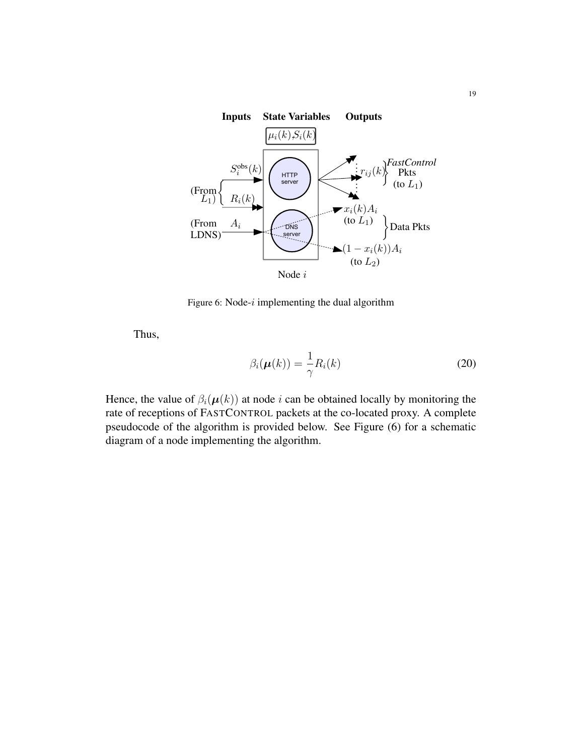

Figure 6: Node- $i$  implementing the dual algorithm

Thus,

$$
\beta_i(\boldsymbol{\mu}(k)) = \frac{1}{\gamma} R_i(k) \tag{20}
$$

Hence, the value of  $\beta_i(\mu(k))$  at node i can be obtained locally by monitoring the rate of receptions of FASTCONTROL packets at the co-located proxy. A complete pseudocode of the algorithm is provided below. See Figure (6) for a schematic diagram of a node implementing the algorithm.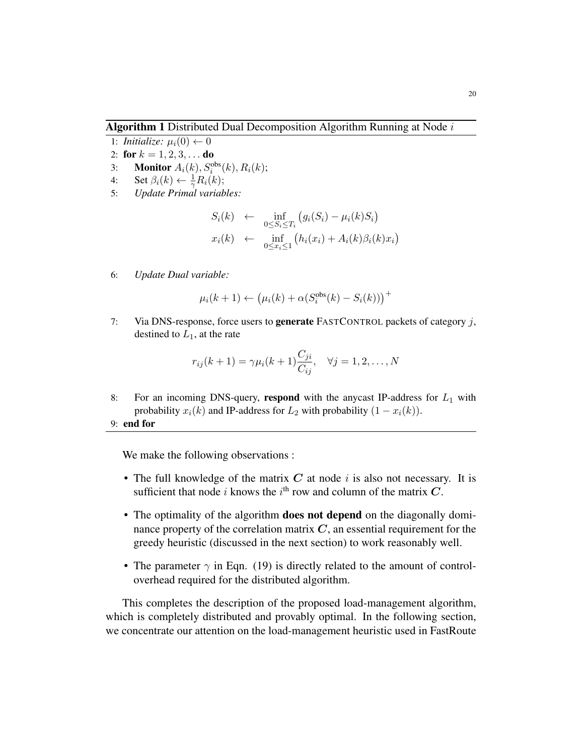**Algorithm 1** Distributed Dual Decomposition Algorithm Running at Node  $i$ 

- 1: *Initialize:*  $\mu_i(0) \leftarrow 0$
- 2: for  $k = 1, 2, 3, \ldots$  do
- 3: **Monitor**  $A_i(k)$ ,  $S_i^{obs}(k)$ ,  $R_i(k)$ ;
- 4: Set  $\beta_i(k) \leftarrow \frac{1}{\gamma} R_i(k);$
- 5: *Update Primal variables:*

$$
S_i(k) \leftarrow \inf_{0 \leq S_i \leq T_i} (g_i(S_i) - \mu_i(k)S_i)
$$
  

$$
x_i(k) \leftarrow \inf_{0 \leq x_i \leq 1} (h_i(x_i) + A_i(k)\beta_i(k)x_i)
$$

6: *Update Dual variable:*

$$
\mu_i(k+1) \leftarrow (\mu_i(k) + \alpha(S_i^{\text{obs}}(k) - S_i(k)))^+
$$

7: Via DNS-response, force users to **generate** FASTCONTROL packets of category  $j$ , destined to  $L_1$ , at the rate

$$
r_{ij}(k+1) = \gamma \mu_i(k+1) \frac{C_{ji}}{C_{ij}}, \quad \forall j = 1, 2, \dots, N
$$

- 8: For an incoming DNS-query, respond with the anycast IP-address for  $L_1$  with probability  $x_i(k)$  and IP-address for  $L_2$  with probability  $(1 - x_i(k))$ .
- 9: end for

We make the following observations :

- The full knowledge of the matrix  $C$  at node i is also not necessary. It is sufficient that node *i* knows the *i*<sup>th</sup> row and column of the matrix C.
- The optimality of the algorithm **does not depend** on the diagonally dominance property of the correlation matrix  $C$ , an essential requirement for the greedy heuristic (discussed in the next section) to work reasonably well.
- The parameter  $\gamma$  in Eqn. (19) is directly related to the amount of controloverhead required for the distributed algorithm.

This completes the description of the proposed load-management algorithm, which is completely distributed and provably optimal. In the following section, we concentrate our attention on the load-management heuristic used in FastRoute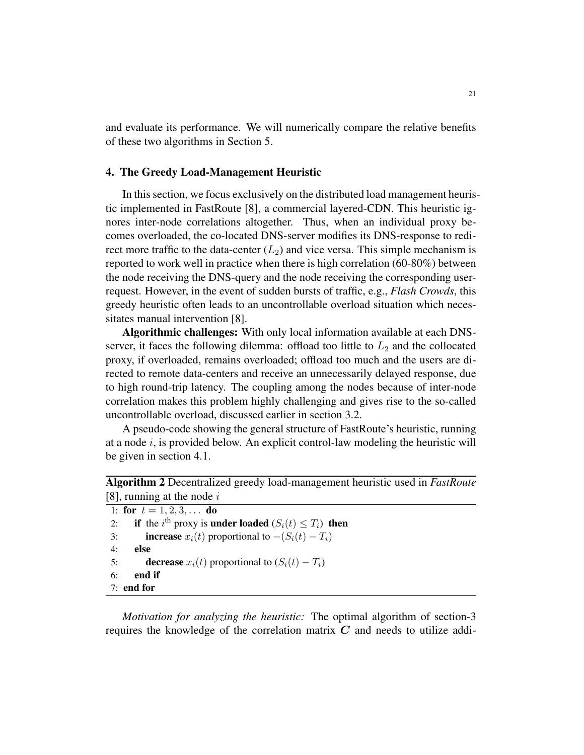and evaluate its performance. We will numerically compare the relative benefits of these two algorithms in Section 5.

# 4. The Greedy Load-Management Heuristic

In this section, we focus exclusively on the distributed load management heuristic implemented in FastRoute [8], a commercial layered-CDN. This heuristic ignores inter-node correlations altogether. Thus, when an individual proxy becomes overloaded, the co-located DNS-server modifies its DNS-response to redirect more traffic to the data-center  $(L_2)$  and vice versa. This simple mechanism is reported to work well in practice when there is high correlation (60-80%) between the node receiving the DNS-query and the node receiving the corresponding userrequest. However, in the event of sudden bursts of traffic, e.g., *Flash Crowds*, this greedy heuristic often leads to an uncontrollable overload situation which necessitates manual intervention [8].

Algorithmic challenges: With only local information available at each DNSserver, it faces the following dilemma: offload too little to  $L_2$  and the collocated proxy, if overloaded, remains overloaded; offload too much and the users are directed to remote data-centers and receive an unnecessarily delayed response, due to high round-trip latency. The coupling among the nodes because of inter-node correlation makes this problem highly challenging and gives rise to the so-called uncontrollable overload, discussed earlier in section 3.2.

A pseudo-code showing the general structure of FastRoute's heuristic, running at a node  $i$ , is provided below. An explicit control-law modeling the heuristic will be given in section 4.1.

| <b>Algorithm 2</b> Decentralized greedy load-management heuristic used in <i>FastRoute</i> |  |  |
|--------------------------------------------------------------------------------------------|--|--|
| [8], running at the node $i$                                                               |  |  |

| 1: for $t = 1, 2, 3, \ldots$ do                                                                  |
|--------------------------------------------------------------------------------------------------|
| if the <i>i</i> <sup>th</sup> proxy is <b>under loaded</b> $(S_i(t) \leq T_i)$ <b>then</b><br>2: |
| <b>increase</b> $x_i(t)$ proportional to $-(S_i(t) - T_i)$<br>3:                                 |
| 4:<br>else                                                                                       |
| <b>decrease</b> $x_i(t)$ proportional to $(S_i(t) - T_i)$<br>5:                                  |
| end if<br>6:                                                                                     |
| $7:$ end for                                                                                     |

*Motivation for analyzing the heuristic:* The optimal algorithm of section-3 requires the knowledge of the correlation matrix  $C$  and needs to utilize addi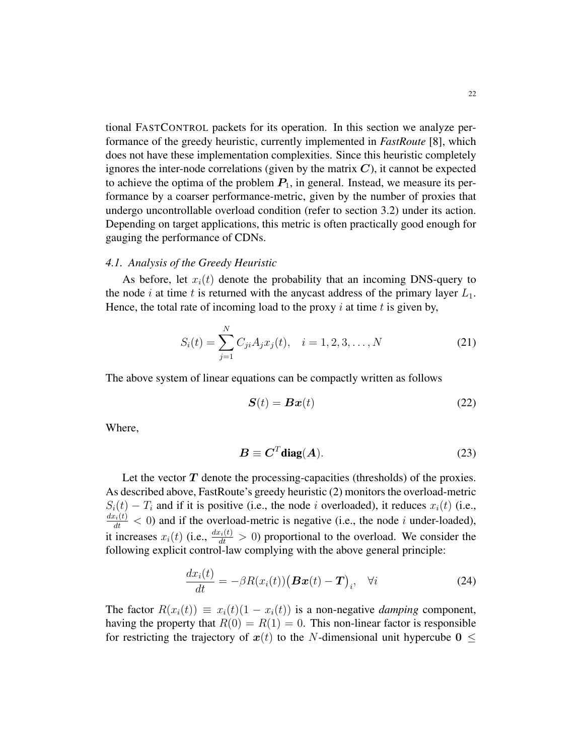tional FASTCONTROL packets for its operation. In this section we analyze performance of the greedy heuristic, currently implemented in *FastRoute* [8], which does not have these implementation complexities. Since this heuristic completely ignores the inter-node correlations (given by the matrix  $C$ ), it cannot be expected to achieve the optima of the problem  $P_1$ , in general. Instead, we measure its performance by a coarser performance-metric, given by the number of proxies that undergo uncontrollable overload condition (refer to section 3.2) under its action. Depending on target applications, this metric is often practically good enough for gauging the performance of CDNs.

#### *4.1. Analysis of the Greedy Heuristic*

As before, let  $x_i(t)$  denote the probability that an incoming DNS-query to the node i at time t is returned with the anycast address of the primary layer  $L_1$ . Hence, the total rate of incoming load to the proxy  $i$  at time  $t$  is given by,

$$
S_i(t) = \sum_{j=1}^{N} C_{ji} A_j x_j(t), \quad i = 1, 2, 3, ..., N
$$
 (21)

The above system of linear equations can be compactly written as follows

$$
\mathbf{S}(t) = \mathbf{B}\mathbf{x}(t) \tag{22}
$$

Where,

$$
B \equiv C^T \text{diag}(A). \tag{23}
$$

Let the vector  $T$  denote the processing-capacities (thresholds) of the proxies. As described above, FastRoute's greedy heuristic (2) monitors the overload-metric  $S_i(t) - T_i$  and if it is positive (i.e., the node i overloaded), it reduces  $x_i(t)$  (i.e.,  $\frac{dx_i(t)}{dt}$  < 0) and if the overload-metric is negative (i.e., the node i under-loaded), it increases  $x_i(t)$  (i.e.,  $\frac{dx_i(t)}{dt} > 0$ ) proportional to the overload. We consider the following explicit control-law complying with the above general principle:

$$
\frac{dx_i(t)}{dt} = -\beta R(x_i(t))\big(\boldsymbol{B}\boldsymbol{x}(t) - \boldsymbol{T}\big)_i, \quad \forall i \tag{24}
$$

The factor  $R(x_i(t)) \equiv x_i(t)(1 - x_i(t))$  is a non-negative *damping* component, having the property that  $R(0) = R(1) = 0$ . This non-linear factor is responsible for restricting the trajectory of  $x(t)$  to the N-dimensional unit hypercube  $0 \leq$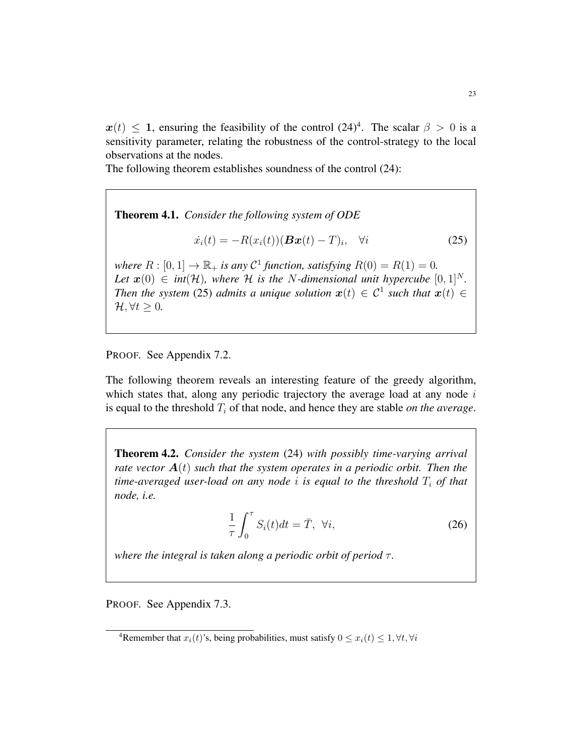$x(t) \leq 1$ , ensuring the feasibility of the control  $(24)^4$ . The scalar  $\beta > 0$  is a sensitivity parameter, relating the robustness of the control-strategy to the local observations at the nodes.

The following theorem establishes soundness of the control (24):

Theorem 4.1. *Consider the following system of ODE*

$$
\dot{x}_i(t) = -R(x_i(t))(\boldsymbol{B}\boldsymbol{x}(t) - T)_i, \quad \forall i \tag{25}
$$

*where*  $R : [0, 1] \rightarrow \mathbb{R}_+$  *is any*  $C^1$  *function, satisfying*  $R(0) = R(1) = 0$ . *Let*  $\mathbf{x}(0) \in \text{int}(\mathcal{H})$ *, where*  $\mathcal{H}$  *is the* N-dimensional unit hypercube  $[0, 1]^N$ *. Then the system* (25) *admits a unique solution*  $x(t) \in C^1$  *such that*  $x(t) \in C$  $\mathcal{H}, \forall t \geq 0.$ 

PROOF. See Appendix 7.2.

The following theorem reveals an interesting feature of the greedy algorithm, which states that, along any periodic trajectory the average load at any node  $i$ is equal to the threshold  $T_i$  of that node, and hence they are stable *on the average*.

Theorem 4.2. *Consider the system* (24) *with possibly time-varying arrival rate vector*  $A(t)$  *such that the system operates in a periodic orbit. Then the time-averaged user-load on any node i is equal to the threshold*  $T_i$  *of that node, i.e.*

$$
\frac{1}{\tau} \int_0^\tau S_i(t) dt = \bar{T}, \ \forall i,
$$
\n(26)

*where the integral is taken along a periodic orbit of period τ.* 

PROOF. See Appendix 7.3.

<sup>&</sup>lt;sup>4</sup>Remember that  $x_i(t)$ 's, being probabilities, must satisfy  $0 \le x_i(t) \le 1, \forall t, \forall i$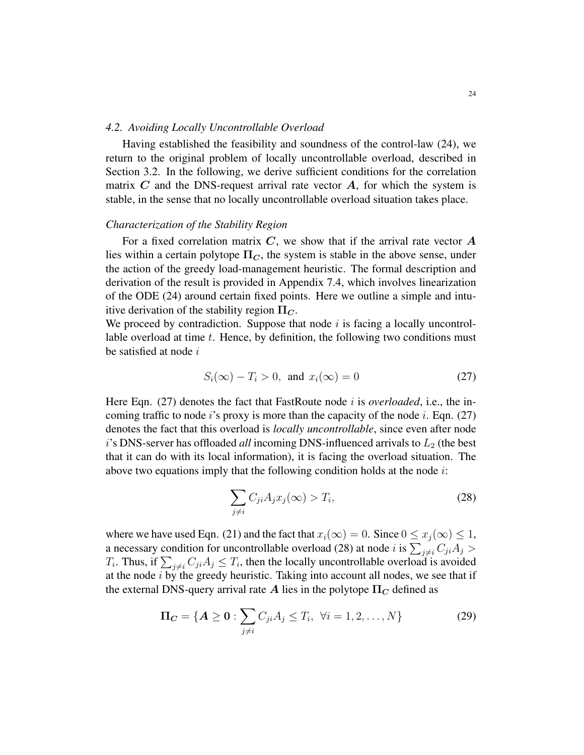#### *4.2. Avoiding Locally Uncontrollable Overload*

Having established the feasibility and soundness of the control-law (24), we return to the original problem of locally uncontrollable overload, described in Section 3.2. In the following, we derive sufficient conditions for the correlation matrix  $C$  and the DNS-request arrival rate vector  $A$ , for which the system is stable, in the sense that no locally uncontrollable overload situation takes place.

#### *Characterization of the Stability Region*

For a fixed correlation matrix  $C$ , we show that if the arrival rate vector  $\bm{A}$ lies within a certain polytope  $\Pi_C$ , the system is stable in the above sense, under the action of the greedy load-management heuristic. The formal description and derivation of the result is provided in Appendix 7.4, which involves linearization of the ODE (24) around certain fixed points. Here we outline a simple and intuitive derivation of the stability region  $\Pi_C$ .

We proceed by contradiction. Suppose that node  $i$  is facing a locally uncontrollable overload at time  $t$ . Hence, by definition, the following two conditions must be satisfied at node  $i$ 

$$
S_i(\infty) - T_i > 0, \text{ and } x_i(\infty) = 0 \tag{27}
$$

Here Eqn. (27) denotes the fact that FastRoute node i is *overloaded*, i.e., the incoming traffic to node i's proxy is more than the capacity of the node i. Eqn. (27) denotes the fact that this overload is *locally uncontrollable*, since even after node  $i$ 's DNS-server has offloaded *all* incoming DNS-influenced arrivals to  $L_2$  (the best that it can do with its local information), it is facing the overload situation. The above two equations imply that the following condition holds at the node  $i$ :

$$
\sum_{j \neq i} C_{ji} A_j x_j(\infty) > T_i,
$$
\n(28)

where we have used Eqn. (21) and the fact that  $x_i(\infty) = 0$ . Since  $0 \le x_i(\infty) \le 1$ , a necessary condition for uncontrollable overload (28) at node  $i$  is  $\sum_{j\neq i} C_{ji}A_j >$  $T_i$ . Thus, if  $\sum_{j \neq i} C_{ji} A_j \leq T_i$ , then the locally uncontrollable overload is avoided at the node  $i$  by the greedy heuristic. Taking into account all nodes, we see that if the external DNS-query arrival rate A lies in the polytope  $\Pi_C$  defined as

$$
\Pi_C = \{ A \ge 0 : \sum_{j \ne i} C_{ji} A_j \le T_i, \ \forall i = 1, 2, ..., N \}
$$
 (29)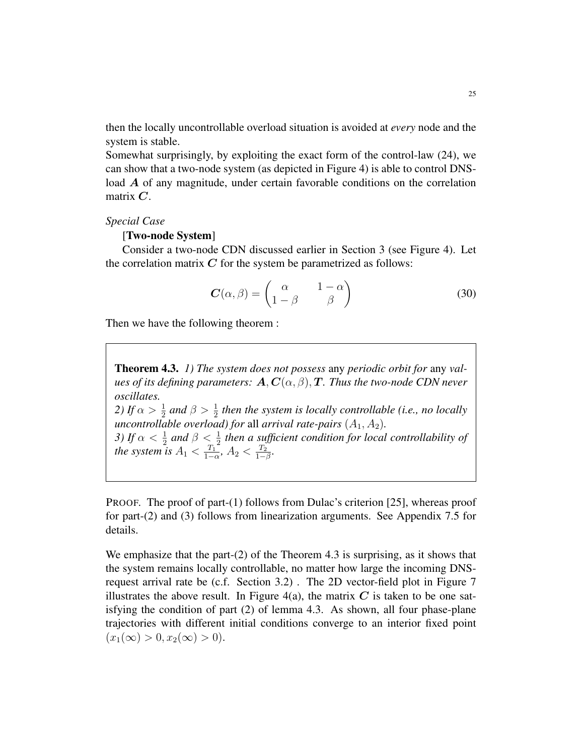then the locally uncontrollable overload situation is avoided at *every* node and the system is stable.

Somewhat surprisingly, by exploiting the exact form of the control-law (24), we can show that a two-node system (as depicted in Figure 4) is able to control DNSload A of any magnitude, under certain favorable conditions on the correlation matrix  $C$ .

#### *Special Case*

#### [Two-node System]

Consider a two-node CDN discussed earlier in Section 3 (see Figure 4). Let the correlation matrix  $C$  for the system be parametrized as follows:

$$
\boldsymbol{C}(\alpha,\beta) = \begin{pmatrix} \alpha & 1-\alpha \\ 1-\beta & \beta \end{pmatrix}
$$
 (30)

Then we have the following theorem :

Theorem 4.3. *1) The system does not possess* any *periodic orbit for* any *values of its defining parameters:*  $\mathbf{A}, \mathbf{C}(\alpha, \beta), \mathbf{T}$ *. Thus the two-node CDN never oscillates.* 2) If  $\alpha > \frac{1}{2}$  and  $\beta > \frac{1}{2}$  then the system is locally controllable (i.e., no locally *uncontrollable overload) for all arrival rate-pairs*  $(A_1, A_2)$ *. 3)* If  $\alpha < \frac{1}{2}$  and  $\beta < \frac{1}{2}$  then a sufficient condition for local controllability of *the system is*  $A_1 < \frac{T_1}{1 - \epsilon}$  $\frac{T_1}{1-\alpha}$ ,  $A_2 < \frac{T_2}{1-\alpha}$  $\frac{T_2}{1-\beta}$ .

PROOF. The proof of part-(1) follows from Dulac's criterion [25], whereas proof for part-(2) and (3) follows from linearization arguments. See Appendix 7.5 for details.

We emphasize that the part-(2) of the Theorem 4.3 is surprising, as it shows that the system remains locally controllable, no matter how large the incoming DNSrequest arrival rate be (c.f. Section 3.2) . The 2D vector-field plot in Figure 7 illustrates the above result. In Figure 4(a), the matrix  $C$  is taken to be one satisfying the condition of part (2) of lemma 4.3. As shown, all four phase-plane trajectories with different initial conditions converge to an interior fixed point  $(x_1(\infty) > 0, x_2(\infty) > 0).$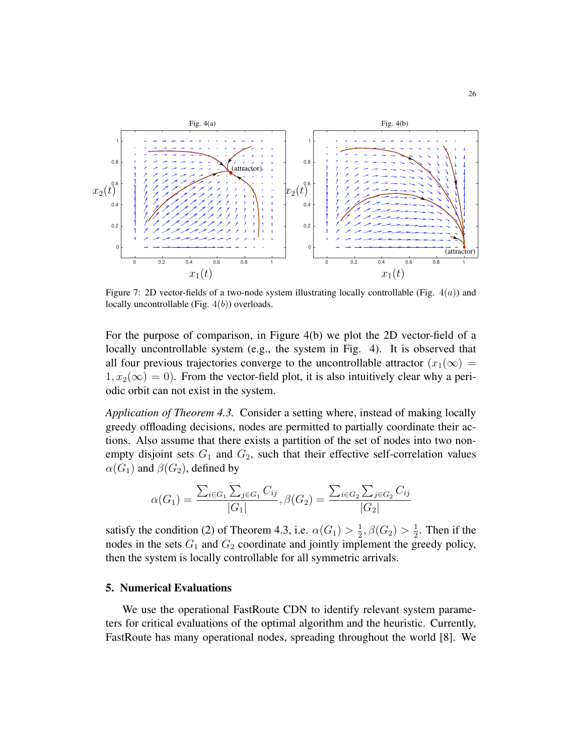

Figure 7: 2D vector-fields of a two-node system illustrating locally controllable (Fig.  $4(a)$ ) and locally uncontrollable (Fig.  $4(b)$ ) overloads.

For the purpose of comparison, in Figure 4(b) we plot the 2D vector-field of a locally uncontrollable system (e.g., the system in Fig. 4). It is observed that all four previous trajectories converge to the uncontrollable attractor  $(x_1(\infty))$  $1, x_2(\infty) = 0$ . From the vector-field plot, it is also intuitively clear why a periodic orbit can not exist in the system.

*Application of Theorem 4.3.* Consider a setting where, instead of making locally greedy offloading decisions, nodes are permitted to partially coordinate their actions. Also assume that there exists a partition of the set of nodes into two nonempty disjoint sets  $G_1$  and  $G_2$ , such that their effective self-correlation values  $\alpha(G_1)$  and  $\beta(G_2)$ , defined by

$$
\alpha(G_1) = \frac{\sum_{i \in G_1} \sum_{j \in G_1} C_{ij}}{|G_1|}, \beta(G_2) = \frac{\sum_{i \in G_2} \sum_{j \in G_2} C_{ij}}{|G_2|}
$$

satisfy the condition (2) of Theorem 4.3, i.e.  $\alpha(G_1) > \frac{1}{2}$  $\frac{1}{2}, \beta(G_2) > \frac{1}{2}$  $\frac{1}{2}$ . Then if the nodes in the sets  $G_1$  and  $G_2$  coordinate and jointly implement the greedy policy, then the system is locally controllable for all symmetric arrivals.

# 5. Numerical Evaluations

We use the operational FastRoute CDN to identify relevant system parameters for critical evaluations of the optimal algorithm and the heuristic. Currently, FastRoute has many operational nodes, spreading throughout the world [8]. We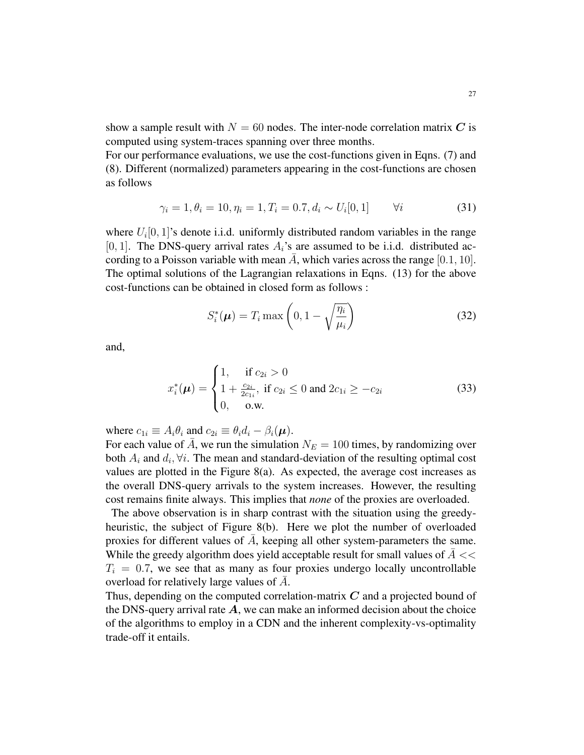show a sample result with  $N = 60$  nodes. The inter-node correlation matrix C is computed using system-traces spanning over three months.

For our performance evaluations, we use the cost-functions given in Eqns. (7) and (8). Different (normalized) parameters appearing in the cost-functions are chosen as follows

$$
\gamma_i = 1, \theta_i = 10, \eta_i = 1, T_i = 0.7, d_i \sim U_i[0, 1] \qquad \forall i \tag{31}
$$

where  $U_i[0, 1]$ 's denote i.i.d. uniformly distributed random variables in the range [0, 1]. The DNS-query arrival rates  $A_i$ 's are assumed to be i.i.d. distributed according to a Poisson variable with mean A, which varies across the range  $[0.1, 10]$ . The optimal solutions of the Lagrangian relaxations in Eqns. (13) for the above cost-functions can be obtained in closed form as follows :

$$
S_i^*(\boldsymbol{\mu}) = T_i \max\left(0, 1 - \sqrt{\frac{\eta_i}{\mu_i}}\right)
$$
 (32)

and,

$$
x_i^*(\mu) = \begin{cases} 1, & \text{if } c_{2i} > 0 \\ 1 + \frac{c_{2i}}{2c_{1i}}, & \text{if } c_{2i} \le 0 \text{ and } 2c_{1i} \ge -c_{2i} \\ 0, & \text{o.w.} \end{cases}
$$
(33)

where  $c_{1i} \equiv A_i \theta_i$  and  $c_{2i} \equiv \theta_i d_i - \beta_i(\mu)$ .

For each value of A, we run the simulation  $N_E = 100$  times, by randomizing over both  $A_i$  and  $d_i$ ,  $\forall i$ . The mean and standard-deviation of the resulting optimal cost values are plotted in the Figure 8(a). As expected, the average cost increases as the overall DNS-query arrivals to the system increases. However, the resulting cost remains finite always. This implies that *none* of the proxies are overloaded.

The above observation is in sharp contrast with the situation using the greedyheuristic, the subject of Figure 8(b). Here we plot the number of overloaded proxies for different values of  $A$ , keeping all other system-parameters the same. While the greedy algorithm does yield acceptable result for small values of  $A \ll$  $T<sub>i</sub> = 0.7$ , we see that as many as four proxies undergo locally uncontrollable overload for relatively large values of  $\overline{A}$ .

Thus, depending on the computed correlation-matrix C and a projected bound of the DNS-query arrival rate  $A$ , we can make an informed decision about the choice of the algorithms to employ in a CDN and the inherent complexity-vs-optimality trade-off it entails.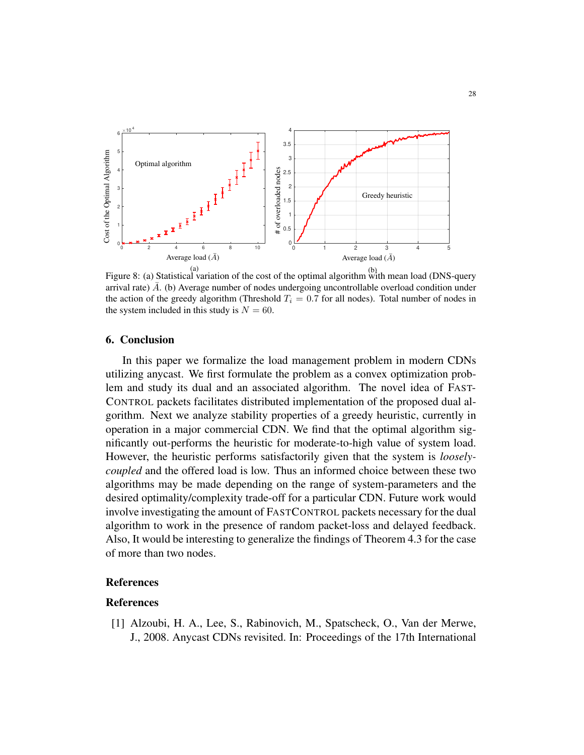

(a) (b) Figure 8: (a) Statistical variation of the cost of the optimal algorithm with mean load (DNS-query arrival rate)  $\bar{A}$ . (b) Average number of nodes undergoing uncontrollable overload condition under the action of the greedy algorithm (Threshold  $T_i = 0.7$  for all nodes). Total number of nodes in the system included in this study is  $N = 60$ .

#### 6. Conclusion

In this paper we formalize the load management problem in modern CDNs utilizing anycast. We first formulate the problem as a convex optimization problem and study its dual and an associated algorithm. The novel idea of FAST-CONTROL packets facilitates distributed implementation of the proposed dual algorithm. Next we analyze stability properties of a greedy heuristic, currently in operation in a major commercial CDN. We find that the optimal algorithm significantly out-performs the heuristic for moderate-to-high value of system load. However, the heuristic performs satisfactorily given that the system is *looselycoupled* and the offered load is low. Thus an informed choice between these two algorithms may be made depending on the range of system-parameters and the desired optimality/complexity trade-off for a particular CDN. Future work would involve investigating the amount of FASTCONTROL packets necessary for the dual algorithm to work in the presence of random packet-loss and delayed feedback. Also, It would be interesting to generalize the findings of Theorem 4.3 for the case of more than two nodes.

# References

# References

[1] Alzoubi, H. A., Lee, S., Rabinovich, M., Spatscheck, O., Van der Merwe, J., 2008. Anycast CDNs revisited. In: Proceedings of the 17th International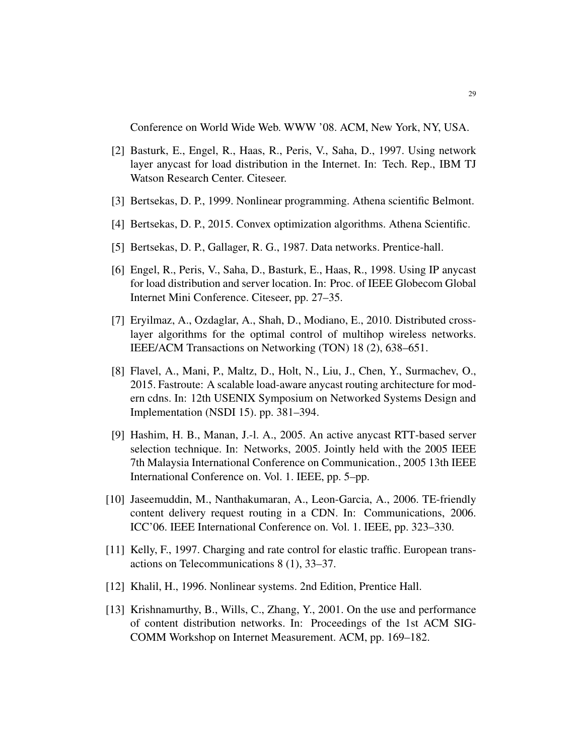Conference on World Wide Web. WWW '08. ACM, New York, NY, USA.

- [2] Basturk, E., Engel, R., Haas, R., Peris, V., Saha, D., 1997. Using network layer anycast for load distribution in the Internet. In: Tech. Rep., IBM TJ Watson Research Center. Citeseer.
- [3] Bertsekas, D. P., 1999. Nonlinear programming. Athena scientific Belmont.
- [4] Bertsekas, D. P., 2015. Convex optimization algorithms. Athena Scientific.
- [5] Bertsekas, D. P., Gallager, R. G., 1987. Data networks. Prentice-hall.
- [6] Engel, R., Peris, V., Saha, D., Basturk, E., Haas, R., 1998. Using IP anycast for load distribution and server location. In: Proc. of IEEE Globecom Global Internet Mini Conference. Citeseer, pp. 27–35.
- [7] Eryilmaz, A., Ozdaglar, A., Shah, D., Modiano, E., 2010. Distributed crosslayer algorithms for the optimal control of multihop wireless networks. IEEE/ACM Transactions on Networking (TON) 18 (2), 638–651.
- [8] Flavel, A., Mani, P., Maltz, D., Holt, N., Liu, J., Chen, Y., Surmachev, O., 2015. Fastroute: A scalable load-aware anycast routing architecture for modern cdns. In: 12th USENIX Symposium on Networked Systems Design and Implementation (NSDI 15). pp. 381–394.
- [9] Hashim, H. B., Manan, J.-l. A., 2005. An active anycast RTT-based server selection technique. In: Networks, 2005. Jointly held with the 2005 IEEE 7th Malaysia International Conference on Communication., 2005 13th IEEE International Conference on. Vol. 1. IEEE, pp. 5–pp.
- [10] Jaseemuddin, M., Nanthakumaran, A., Leon-Garcia, A., 2006. TE-friendly content delivery request routing in a CDN. In: Communications, 2006. ICC'06. IEEE International Conference on. Vol. 1. IEEE, pp. 323–330.
- [11] Kelly, F., 1997. Charging and rate control for elastic traffic. European transactions on Telecommunications 8 (1), 33–37.
- [12] Khalil, H., 1996. Nonlinear systems. 2nd Edition, Prentice Hall.
- [13] Krishnamurthy, B., Wills, C., Zhang, Y., 2001. On the use and performance of content distribution networks. In: Proceedings of the 1st ACM SIG-COMM Workshop on Internet Measurement. ACM, pp. 169–182.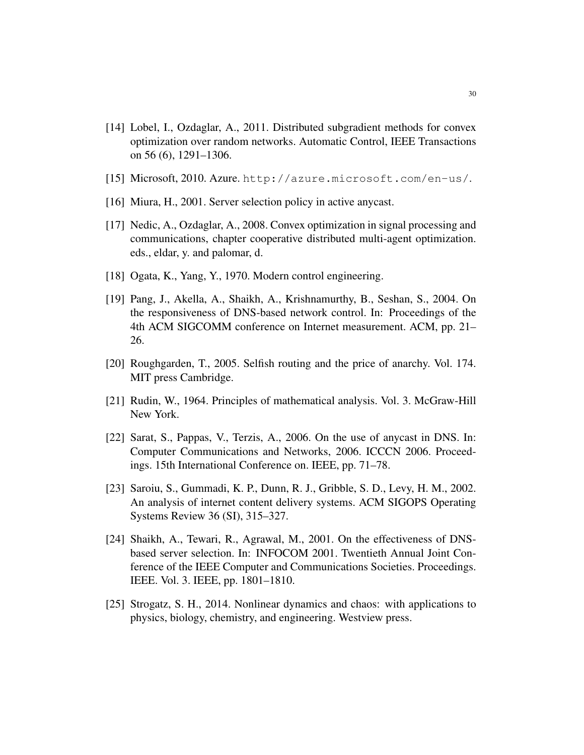- [14] Lobel, I., Ozdaglar, A., 2011. Distributed subgradient methods for convex optimization over random networks. Automatic Control, IEEE Transactions on 56 (6), 1291–1306.
- [15] Microsoft, 2010. Azure. http://azure.microsoft.com/en-us/.
- [16] Miura, H., 2001. Server selection policy in active any cast.
- [17] Nedic, A., Ozdaglar, A., 2008. Convex optimization in signal processing and communications, chapter cooperative distributed multi-agent optimization. eds., eldar, y. and palomar, d.
- [18] Ogata, K., Yang, Y., 1970. Modern control engineering.
- [19] Pang, J., Akella, A., Shaikh, A., Krishnamurthy, B., Seshan, S., 2004. On the responsiveness of DNS-based network control. In: Proceedings of the 4th ACM SIGCOMM conference on Internet measurement. ACM, pp. 21– 26.
- [20] Roughgarden, T., 2005. Selfish routing and the price of anarchy. Vol. 174. MIT press Cambridge.
- [21] Rudin, W., 1964. Principles of mathematical analysis. Vol. 3. McGraw-Hill New York.
- [22] Sarat, S., Pappas, V., Terzis, A., 2006. On the use of anycast in DNS. In: Computer Communications and Networks, 2006. ICCCN 2006. Proceedings. 15th International Conference on. IEEE, pp. 71–78.
- [23] Saroiu, S., Gummadi, K. P., Dunn, R. J., Gribble, S. D., Levy, H. M., 2002. An analysis of internet content delivery systems. ACM SIGOPS Operating Systems Review 36 (SI), 315–327.
- [24] Shaikh, A., Tewari, R., Agrawal, M., 2001. On the effectiveness of DNSbased server selection. In: INFOCOM 2001. Twentieth Annual Joint Conference of the IEEE Computer and Communications Societies. Proceedings. IEEE. Vol. 3. IEEE, pp. 1801–1810.
- [25] Strogatz, S. H., 2014. Nonlinear dynamics and chaos: with applications to physics, biology, chemistry, and engineering. Westview press.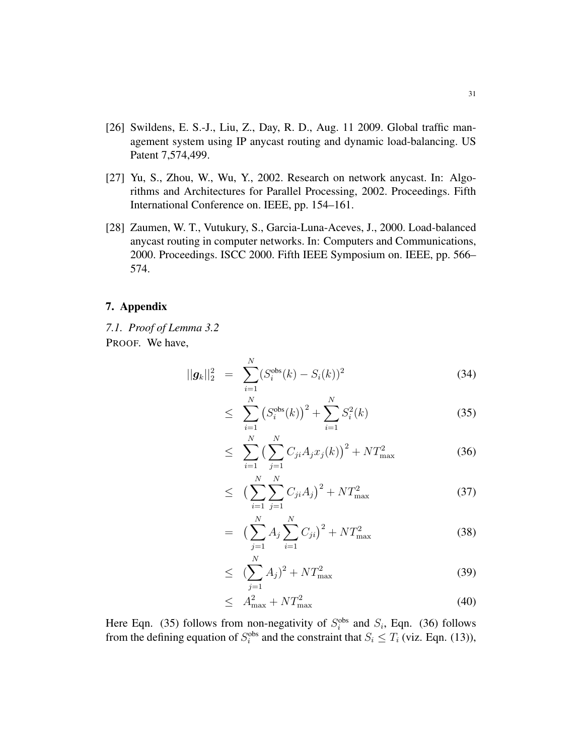- [26] Swildens, E. S.-J., Liu, Z., Day, R. D., Aug. 11 2009. Global traffic management system using IP anycast routing and dynamic load-balancing. US Patent 7,574,499.
- [27] Yu, S., Zhou, W., Wu, Y., 2002. Research on network anycast. In: Algorithms and Architectures for Parallel Processing, 2002. Proceedings. Fifth International Conference on. IEEE, pp. 154–161.
- [28] Zaumen, W. T., Vutukury, S., Garcia-Luna-Aceves, J., 2000. Load-balanced anycast routing in computer networks. In: Computers and Communications, 2000. Proceedings. ISCC 2000. Fifth IEEE Symposium on. IEEE, pp. 566– 574.

# 7. Appendix

*7.1. Proof of Lemma 3.2* PROOF. We have,

$$
||g_k||_2^2 = \sum_{i=1}^N (S_i^{\text{obs}}(k) - S_i(k))^2
$$
 (34)

$$
\leq \sum_{i=1}^{N} \left( S_i^{\text{obs}}(k) \right)^2 + \sum_{i=1}^{N} S_i^2(k) \tag{35}
$$

$$
\leq \sum_{i=1}^{N} \left( \sum_{j=1}^{N} C_{ji} A_j x_j(k) \right)^2 + N T_{\text{max}}^2 \tag{36}
$$

$$
\leq \left(\sum_{i=1}^{N} \sum_{j=1}^{N} C_{ji} A_j\right)^2 + NT_{\text{max}}^2 \tag{37}
$$

$$
= \left(\sum_{j=1}^{N} A_j \sum_{i=1}^{N} C_{ji}\right)^2 + NT_{\text{max}}^2 \tag{38}
$$

$$
\leq \left( \sum_{j=1}^{N} A_j \right)^2 + N T_{\text{max}}^2 \tag{39}
$$

$$
\leq A_{\text{max}}^2 + NT_{\text{max}}^2 \tag{40}
$$

Here Eqn. (35) follows from non-negativity of  $S_i^{obs}$  and  $S_i$ , Eqn. (36) follows from the defining equation of  $S_i^{obs}$  and the constraint that  $S_i \leq T_i$  (viz. Eqn. (13)),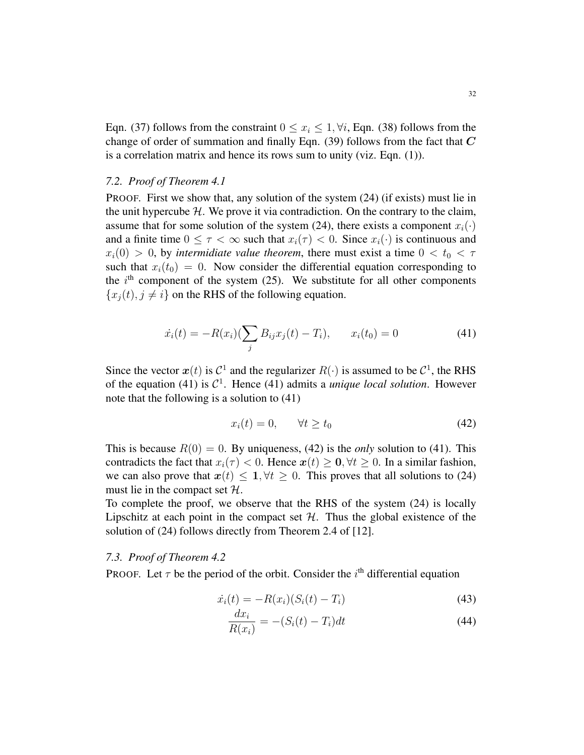Eqn. (37) follows from the constraint  $0 \le x_i \le 1$ ,  $\forall i$ , Eqn. (38) follows from the change of order of summation and finally Eqn. (39) follows from the fact that  $C$ is a correlation matrix and hence its rows sum to unity (viz. Eqn. (1)).

#### *7.2. Proof of Theorem 4.1*

PROOF. First we show that, any solution of the system (24) (if exists) must lie in the unit hypercube  $H$ . We prove it via contradiction. On the contrary to the claim, assume that for some solution of the system (24), there exists a component  $x_i(\cdot)$ and a finite time  $0 \leq \tau < \infty$  such that  $x_i(\tau) < 0$ . Since  $x_i(\cdot)$  is continuous and  $x_i(0) > 0$ , by *intermidiate value theorem*, there must exist a time  $0 < t_0 < \tau$ such that  $x_i(t_0) = 0$ . Now consider the differential equation corresponding to the  $i<sup>th</sup>$  component of the system (25). We substitute for all other components  ${x_i(t), j \neq i}$  on the RHS of the following equation.

$$
\dot{x}_i(t) = -R(x_i)\left(\sum_j B_{ij}x_j(t) - T_i\right), \qquad x_i(t_0) = 0 \tag{41}
$$

Since the vector  $x(t)$  is  $C^1$  and the regularizer  $R(\cdot)$  is assumed to be  $C^1$ , the RHS of the equation (41) is  $C^1$ . Hence (41) admits a *unique local solution*. However note that the following is a solution to (41)

$$
x_i(t) = 0, \qquad \forall t \ge t_0 \tag{42}
$$

This is because  $R(0) = 0$ . By uniqueness, (42) is the *only* solution to (41). This contradicts the fact that  $x_i(\tau) < 0$ . Hence  $x(t) > 0, \forall t > 0$ . In a similar fashion, we can also prove that  $x(t) \leq 1, \forall t \geq 0$ . This proves that all solutions to (24) must lie in the compact set  $H$ .

To complete the proof, we observe that the RHS of the system (24) is locally Lipschitz at each point in the compact set  $H$ . Thus the global existence of the solution of (24) follows directly from Theorem 2.4 of [12].

# *7.3. Proof of Theorem 4.2*

PROOF. Let  $\tau$  be the period of the orbit. Consider the  $i<sup>th</sup>$  differential equation

$$
\dot{x}_i(t) = -R(x_i)(S_i(t) - T_i)
$$
\n(43)

$$
\frac{dx_i}{R(x_i)} = -(S_i(t) - T_i)dt\tag{44}
$$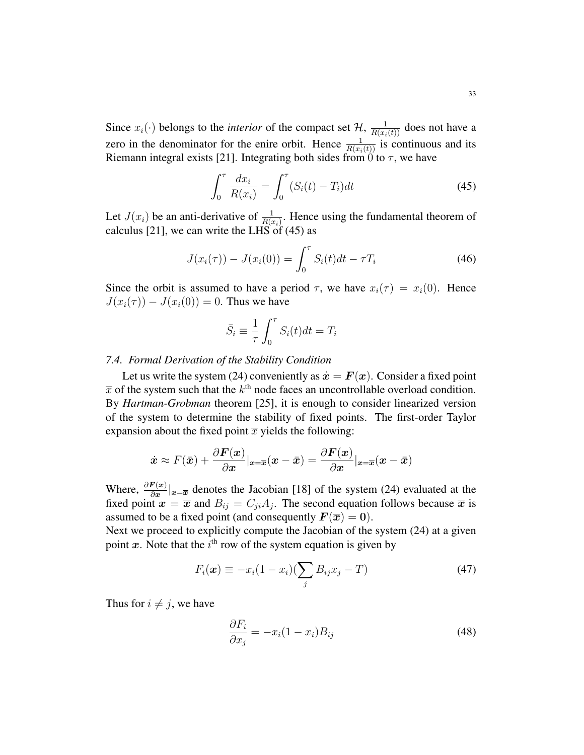Since  $x_i(\cdot)$  belongs to the *interior* of the compact set  $\mathcal{H}$ ,  $\frac{1}{R(x_i(t))}$  does not have a zero in the denominator for the enire orbit. Hence  $\frac{1}{R(x_i(t))}$  is continuous and its Riemann integral exists [21]. Integrating both sides from 0 to  $\tau$ , we have

$$
\int_0^{\tau} \frac{dx_i}{R(x_i)} = \int_0^{\tau} (S_i(t) - T_i) dt
$$
\n(45)

Let  $J(x_i)$  be an anti-derivative of  $\frac{1}{R(x_i)}$ . Hence using the fundamental theorem of calculus [21], we can write the LHS of  $(45)$  as

$$
J(x_i(\tau)) - J(x_i(0)) = \int_0^{\tau} S_i(t)dt - \tau T_i
$$
\n(46)

Since the orbit is assumed to have a period  $\tau$ , we have  $x_i(\tau) = x_i(0)$ . Hence  $J(x_i(\tau)) - J(x_i(0)) = 0$ . Thus we have

$$
\bar{S}_i \equiv \frac{1}{\tau} \int_0^{\tau} S_i(t) dt = T_i
$$

#### *7.4. Formal Derivation of the Stability Condition*

Let us write the system (24) conveniently as  $\dot{x} = F(x)$ . Consider a fixed point  $\bar{x}$  of the system such that the  $k^{\text{th}}$  node faces an uncontrollable overload condition. By *Hartman-Grobman* theorem [25], it is enough to consider linearized version of the system to determine the stability of fixed points. The first-order Taylor expansion about the fixed point  $\bar{x}$  yields the following:

$$
\dot{\boldsymbol{x}} \approx F(\bar{\boldsymbol{x}}) + \frac{\partial \boldsymbol{F}(\boldsymbol{x})}{\partial \boldsymbol{x}}|_{\boldsymbol{x} = \overline{\boldsymbol{x}}}(\boldsymbol{x} - \bar{\boldsymbol{x}}) = \frac{\partial \boldsymbol{F}(\boldsymbol{x})}{\partial \boldsymbol{x}}|_{\boldsymbol{x} = \overline{\boldsymbol{x}}}(\boldsymbol{x} - \bar{\boldsymbol{x}})
$$

Where,  $\frac{\partial F(x)}{\partial x}|_{x=\overline{x}}$  denotes the Jacobian [18] of the system (24) evaluated at the fixed point  $x = \bar{x}$  and  $B_{ij} = C_{ji}A_j$ . The second equation follows because  $\bar{x}$  is assumed to be a fixed point (and consequently  $F(\overline{x}) = 0$ ).

Next we proceed to explicitly compute the Jacobian of the system (24) at a given point x. Note that the  $i<sup>th</sup>$  row of the system equation is given by

$$
F_i(\boldsymbol{x}) \equiv -x_i(1-x_i)\left(\sum_j B_{ij}x_j - T\right) \tag{47}
$$

Thus for  $i \neq j$ , we have

$$
\frac{\partial F_i}{\partial x_j} = -x_i(1 - x_i)B_{ij} \tag{48}
$$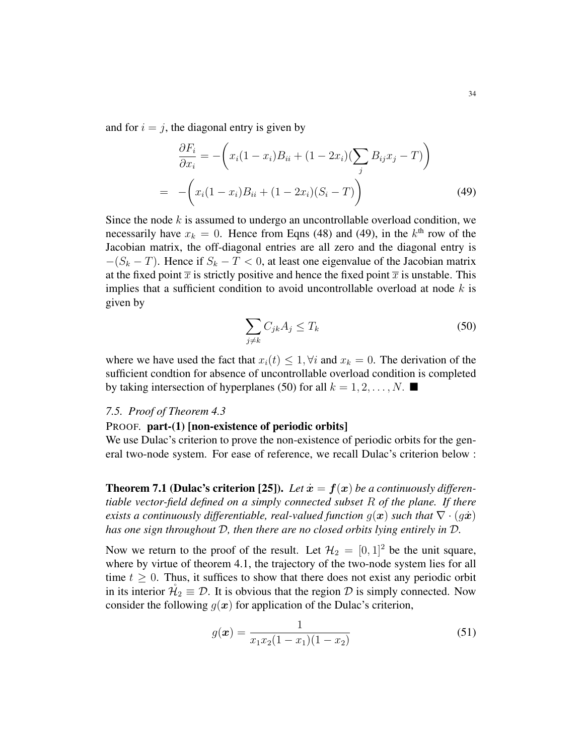and for  $i = j$ , the diagonal entry is given by

$$
\frac{\partial F_i}{\partial x_i} = -\left(x_i(1-x_i)B_{ii} + (1-2x_i)\left(\sum_j B_{ij}x_j - T\right)\right)
$$

$$
= -\left(x_i(1-x_i)B_{ii} + (1-2x_i)(S_i - T)\right)
$$
(49)

Since the node  $k$  is assumed to undergo an uncontrollable overload condition, we necessarily have  $x_k = 0$ . Hence from Eqns (48) and (49), in the  $k^{\text{th}}$  row of the Jacobian matrix, the off-diagonal entries are all zero and the diagonal entry is  $-(S_k - T)$ . Hence if  $S_k - T < 0$ , at least one eigenvalue of the Jacobian matrix at the fixed point  $\bar{x}$  is strictly positive and hence the fixed point  $\bar{x}$  is unstable. This implies that a sufficient condition to avoid uncontrollable overload at node  $k$  is given by

$$
\sum_{j \neq k} C_{jk} A_j \leq T_k \tag{50}
$$

where we have used the fact that  $x_i(t) \leq 1$ ,  $\forall i$  and  $x_k = 0$ . The derivation of the sufficient condtion for absence of uncontrollable overload condition is completed by taking intersection of hyperplanes (50) for all  $k = 1, 2, \dots, N$ .

#### *7.5. Proof of Theorem 4.3*

# PROOF. part-(1) [non-existence of periodic orbits]

We use Dulac's criterion to prove the non-existence of periodic orbits for the general two-node system. For ease of reference, we recall Dulac's criterion below :

**Theorem 7.1 (Dulac's criterion [25]).** Let  $\dot{x} = f(x)$  be a continuously differen*tiable vector-field defined on a simply connected subset* R *of the plane. If there exists a continuously differentiable, real-valued function*  $q(x)$  *such that*  $\nabla \cdot (q\dot{x})$ *has one sign throughout* D*, then there are no closed orbits lying entirely in* D*.*

Now we return to the proof of the result. Let  $\mathcal{H}_2 = [0, 1]^2$  be the unit square, where by virtue of theorem 4.1, the trajectory of the two-node system lies for all time  $t \geq 0$ . Thus, it suffices to show that there does not exist any periodic orbit in its interior  $\mathcal{H}_2 \equiv \mathcal{D}$ . It is obvious that the region  $\mathcal D$  is simply connected. Now consider the following  $g(x)$  for application of the Dulac's criterion,

$$
g(\boldsymbol{x}) = \frac{1}{x_1 x_2 (1 - x_1)(1 - x_2)}\tag{51}
$$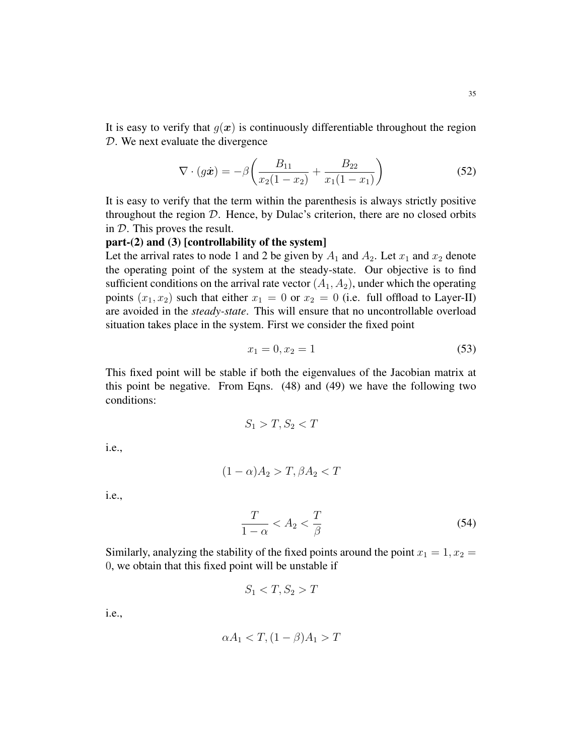It is easy to verify that  $g(x)$  is continuously differentiable throughout the region D. We next evaluate the divergence

$$
\nabla \cdot (g\dot{x}) = -\beta \left( \frac{B_{11}}{x_2(1-x_2)} + \frac{B_{22}}{x_1(1-x_1)} \right) \tag{52}
$$

It is easy to verify that the term within the parenthesis is always strictly positive throughout the region  $D$ . Hence, by Dulac's criterion, there are no closed orbits in D. This proves the result.

# part-(2) and (3) [controllability of the system]

Let the arrival rates to node 1 and 2 be given by  $A_1$  and  $A_2$ . Let  $x_1$  and  $x_2$  denote the operating point of the system at the steady-state. Our objective is to find sufficient conditions on the arrival rate vector  $(A_1, A_2)$ , under which the operating points  $(x_1, x_2)$  such that either  $x_1 = 0$  or  $x_2 = 0$  (i.e. full offload to Layer-II) are avoided in the *steady-state*. This will ensure that no uncontrollable overload situation takes place in the system. First we consider the fixed point

$$
x_1 = 0, x_2 = 1 \tag{53}
$$

This fixed point will be stable if both the eigenvalues of the Jacobian matrix at this point be negative. From Eqns. (48) and (49) we have the following two conditions:

$$
S_1 > T, S_2 < T
$$

i.e.,

$$
(1-\alpha)A_2 > T, \beta A_2 < T
$$

i.e.,

$$
\frac{T}{1-\alpha} < A_2 < \frac{T}{\beta} \tag{54}
$$

Similarly, analyzing the stability of the fixed points around the point  $x_1 = 1, x_2 = 1$ 0, we obtain that this fixed point will be unstable if

$$
S_1 < T, S_2 > T
$$

i.e.,

$$
\alpha A_1 < T, (1 - \beta)A_1 > T
$$